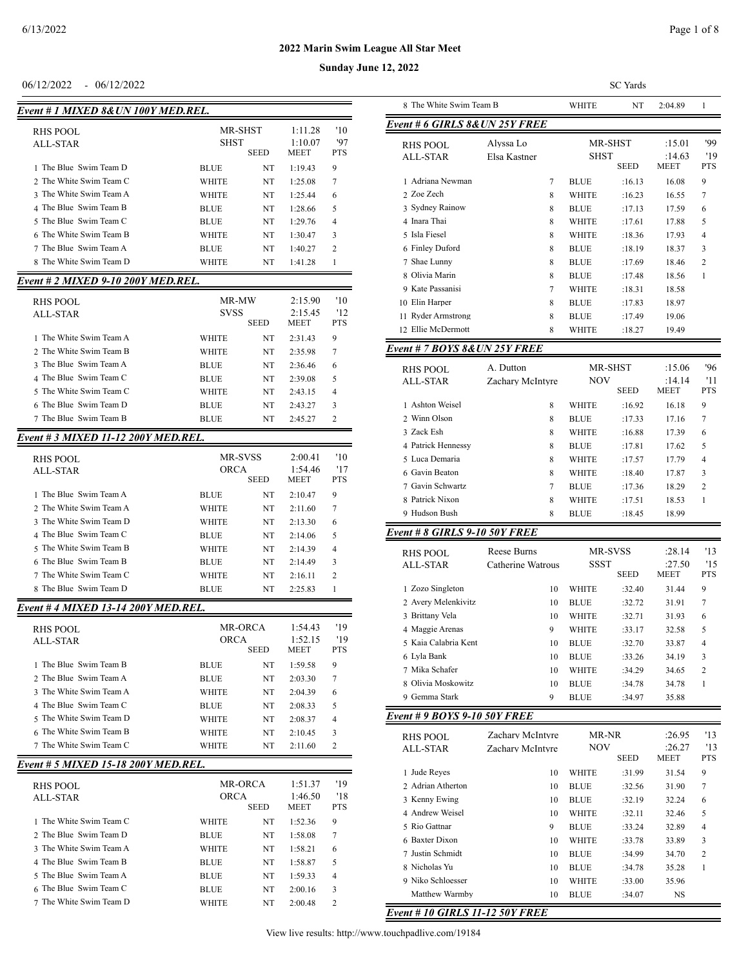| Event # 1 MIXED 8& UN 100Y MED.REL.        |                        |             |                            |                   |
|--------------------------------------------|------------------------|-------------|----------------------------|-------------------|
| RHS POOL<br><b>ALL-STAR</b>                | MR-SHST<br><b>SHST</b> | <b>SEED</b> | 1:11.28<br>1:10.07<br>MEET | '10<br>'97<br>PTS |
| 1 The Blue Swim Team D                     | <b>BLUE</b>            | NT          | 1:19.43                    | 9                 |
| 2 The White Swim Team C                    | WHITE                  | NT          | 1:25.08                    | 7                 |
| 3 The White Swim Team A                    | WHITE                  | NT          | 1:25.44                    | 6                 |
| 4 The Blue Swim Team B                     | <b>BLUE</b>            | NT          | 1:28.66                    | 5                 |
| 5 The Blue Swim Team C                     | <b>BLUE</b>            | NT          | 1:29.76                    | 4                 |
| 6 The White Swim Team B                    | WHITE                  | NT          | 1:30.47                    | 3                 |
| 7 The Blue Swim Team A                     | BLUE                   | NT          | 1:40.27                    | 2                 |
| 8 The White Swim Team D                    | WHITE                  | NT          | 1:41.28                    | 1                 |
| Event # 2 MIXED 9-10 200Y MED.REL.         |                        |             |                            |                   |
| RHS POOL                                   | MR-MW                  |             | 2:15.90                    | '10               |
| <b>ALL-STAR</b>                            | SVSS                   |             | 2:15.45                    | '12               |
|                                            |                        | SEED        | <b>MEET</b>                | <b>PTS</b>        |
| 1 The White Swim Team A                    | WHITE                  | NT          | 2:31.43                    | 9                 |
| 2 The White Swim Team B                    | WHITE                  | NT          | 2:35.98                    | 7                 |
| 3 The Blue Swim Team A                     | <b>BLUE</b>            | NT          | 2:36.46                    | 6                 |
| 4 The Blue Swim Team C                     | <b>BLUE</b>            | NT          | 2:39.08                    | 5                 |
| 5 The White Swim Team C                    | WHITE                  | NT          | 2:43.15                    | 4                 |
| 6 The Blue Swim Team D                     | <b>BLUE</b>            | NT          | 2:43.27                    | 3                 |
| 7 The Blue Swim Team B                     | <b>BLUE</b>            | NT          | 2:45.27                    | 2                 |
| Event # 3 MIXED 11-12 200Y MED.REL.        |                        |             |                            |                   |
| RHS POOL                                   | MR-SVSS                |             | 2:00.41                    | '10               |
| ALL-STAR                                   | <b>ORCA</b>            | <b>SEED</b> | 1:54.46<br>MEET            | '17<br>PTS        |
| 1 The Blue Swim Team A                     | BLUE                   | NT          | 2:10.47                    | 9                 |
| 2 The White Swim Team A                    | WHITE                  | NT          | 2:11.60                    | 7                 |
| 3 The White Swim Team D                    | WHITE                  | NT          | 2:13.30                    | 6                 |
| 4 The Blue Swim Team C                     | BLUE                   | NT          | 2:14.06                    | 5                 |
| 5 The White Swim Team B                    | WHITE                  | NT          | 2:14.39                    | 4                 |
| 6 The Blue Swim Team B                     | <b>BLUE</b>            | NT          | 2:14.49                    | 3                 |
| 7 The White Swim Team C                    | WHITE                  | NT          | 2:16.11                    | 2                 |
| 8 The Blue Swim Team D                     | BLUE                   | NT          | 2:25.83                    | 1                 |
| <u>Event # 4 MIXED 13-14 200Y MED.REL.</u> |                        |             |                            |                   |
| <b>RHS POOL</b>                            | <b>MR-ORCA</b>         |             | 1:54.43                    | '19               |
| ALL-STAR                                   | <b>ORCA</b>            |             | 1:52.15                    | '19               |
|                                            |                        | SEED        | MEET                       | PTS               |
| 1 The Blue Swim Team B                     | BLUE                   | NT          | 1:59.58                    | 9                 |
| 2 The Blue Swim Team A                     | BLUE                   | NT          | 2:03.30                    | 7                 |
| 3 The White Swim Team A                    | WHITE                  | NT          | 2:04.39                    | 6                 |
| 4 The Blue Swim Team C                     | BLUE                   | NT          | 2:08.33                    | 5                 |
| 5 The White Swim Team D                    | WHITE                  | NT          | 2:08.37                    | 4                 |
| 6 The White Swim Team B                    | WHITE                  | NT          | 2:10.45                    | 3                 |
| 7 The White Swim Team C                    | WHITE                  | NT          | 2:11.60                    | 2                 |
| Event # 5 MIXED 15-18 200Y MED.REL.        |                        |             |                            |                   |
| <b>RHS POOL</b>                            | MR-ORCA                |             | 1:51.37                    | '19               |
| <b>ALL-STAR</b>                            | <b>ORCA</b>            |             | 1:46.50                    | '18               |
| 1 The White Swim Team C                    |                        | SEED        | MEET                       | PTS               |
| 2 The Blue Swim Team D                     | WHITE                  | NT          | 1:52.36                    | 9                 |
| 3 The White Swim Team A                    | BLUE                   | NT          | 1:58.08                    | 7                 |
| 4 The Blue Swim Team B                     | WHITE                  | NT          | 1:58.21                    | 6<br>5            |
| 5 The Blue Swim Team A                     | BLUE<br>BLUE           | NT<br>NT    | 1:58.87<br>1:59.33         | 4                 |
|                                            |                        |             |                            |                   |

 The Blue Swim Team C BLUE NT 2:00.16 3 7 The White Swim Team D WHITE NT 2:00.48 2

|                                    |              |             |                        |                   | Sunday June 12, 2022               |                           |    |              |                 |                  |                |
|------------------------------------|--------------|-------------|------------------------|-------------------|------------------------------------|---------------------------|----|--------------|-----------------|------------------|----------------|
| 06/12/2022<br>$-06/12/2022$        |              |             |                        |                   |                                    |                           |    |              | <b>SC</b> Yards |                  |                |
| vent # 1 MIXED 8& UN 100Y MED.REL. |              |             |                        |                   | 8 The White Swim Team B            |                           |    | <b>WHITE</b> | NT              | 2:04.89          |                |
| RHS POOL                           | MR-SHST      |             | 1:11.28                | '10               | Event # 6 GIRLS 8& UN 25Y FREE     |                           |    |              |                 |                  |                |
| ALL-STAR                           | <b>SHST</b>  | <b>SEED</b> | 1:10.07<br><b>MEET</b> | '97<br><b>PTS</b> | <b>RHS POOL</b><br><b>ALL-STAR</b> | Alvssa Lo<br>Elsa Kastner |    | <b>SHST</b>  | MR-SHST         | :15.01<br>:14.63 | '99<br>'19     |
| 1 The Blue Swim Team D             | <b>BLUE</b>  | NT          | 1:19.43                | 9                 |                                    |                           |    |              | <b>SEED</b>     | <b>MEET</b>      | <b>PTS</b>     |
| 2 The White Swim Team C            | <b>WHITE</b> | NT          | 1:25.08                | 7                 | 1 Adriana Newman                   |                           | 7  | <b>BLUE</b>  | :16.13          | 16.08            | 9              |
| 3 The White Swim Team A            | <b>WHITE</b> | NT          | 1:25.44                | 6                 | 2 Zoe Zech                         |                           | 8  | <b>WHITE</b> | :16.23          | 16.55            | 7              |
| 4 The Blue Swim Team B             | <b>BLUE</b>  | NT          | 1:28.66                | 5                 | 3 Sydney Rainow                    |                           | 8  | <b>BLUE</b>  | :17.13          | 17.59            | 6              |
| 5 The Blue Swim Team C             | <b>BLUE</b>  | NT          | 1:29.76                | 4                 | 4 Inara Thai                       |                           | 8  | <b>WHITE</b> | :17.61          | 17.88            | 5              |
| 6 The White Swim Team B            | <b>WHITE</b> | NT          | 1:30.47                | 3                 | 5 Isla Fiesel                      |                           | 8  | <b>WHITE</b> | :18.36          | 17.93            | $\overline{4}$ |
| 7 The Blue Swim Team A             | <b>BLUE</b>  | NT          | 1:40.27                | 2                 | 6 Finley Duford                    |                           | 8  | <b>BLUE</b>  | :18.19          | 18.37            | 3              |
| 8 The White Swim Team D            | <b>WHITE</b> | NT          | 1:41.28                |                   | 7 Shae Lunny                       |                           | 8  | <b>BLUE</b>  | :17.69          | 18.46            | 2              |
| vent # 2 MIXED 9-10 200Y MED.REL.  |              |             |                        |                   | 8 Olivia Marin                     |                           | -8 | <b>BLUE</b>  | :17.48          | 18.56            |                |
|                                    |              |             |                        |                   | 9 Kate Passanisi                   |                           |    | <b>WHITE</b> | :18.31          | 18.58            |                |
| <b>RHS POOL</b>                    | MR-MW        |             | 2:15.90                | '10               | 10 Elin Harper                     |                           | 8  | <b>BLUE</b>  | :17.83          | 18.97            |                |
| <b>ALL-STAR</b>                    | <b>SVSS</b>  |             | 2:15.45                | '12               | 11 Ryder Armstrong                 |                           | -8 | <b>BLUE</b>  | :17.49          | 19.06            |                |
|                                    |              | <b>SEED</b> | <b>MEET</b>            | <b>PTS</b>        | 12 Ellie McDermott                 |                           | 8  | <b>WHITE</b> | :18.27          | 19.49            |                |
| 1 The White Swim Team A            | <b>WHITE</b> | NT          | 2:31.43                | 9                 | Event # 7 BOYS 8& UN 25Y FREE      |                           |    |              |                 |                  |                |
| 2 The White Swim Team B            | <b>WHITE</b> | NT          | 2:35.98                | 7                 |                                    |                           |    |              |                 |                  |                |
| 3 The Blue Swim Team A             | <b>BLUE</b>  | NT          | 2:36.46                | 6                 | <b>RHS POOL</b>                    | A. Dutton                 |    |              | MR-SHST         | :15.06           | 96             |
| 4 The Blue Swim Team C             | <b>BLUE</b>  | NT          | 2:39.08                | 5                 | <b>ALL-STAR</b>                    | Zachary McIntyre          |    | <b>NOV</b>   |                 | :14.14           | '11            |
| 5 The White Swim Team C            | <b>WHITE</b> | NT          | 2:43.15                | 4                 |                                    |                           |    |              | <b>SEED</b>     | <b>MEET</b>      | <b>PTS</b>     |
| 6 The Blue Swim Team D             | <b>BLUE</b>  | NT          | 2:43.27                | 3                 | 1 Ashton Weisel                    |                           | 8  | <b>WHITE</b> | :16.92          | 16.18            | 9              |
| $\sigma$ The Dhie Critics Team D   | DI IIP.      | <b>ATT</b>  | 0.45.27                |                   | $\alpha$ When Olgan                |                           |    | DI IIP       | 1732            | 17.1             |                |

 Winn Olson 8 BLUE :17.33 17.16 7 Zack Esh 8 WHITE :16.88 17.39 6 Patrick Hennessy 8 BLUE :17.81 17.62 5

| 5 Luca Demaria   | 8 | <b>WHITE</b> | :17.57  | 17.79 | $\overline{4}$ |
|------------------|---|--------------|---------|-------|----------------|
| 6 Gavin Beaton   | 8 | <b>WHITE</b> | :18.40  | 17.87 | 3              |
| 7 Gavin Schwartz |   | <b>BLUE</b>  | :17.36  | 18.29 |                |
| 8 Patrick Nixon  | 8 | <b>WHITE</b> | :17.51  | 18.53 |                |
| 9 Hudson Bush    | x | <b>BLIF</b>  | $+1845$ | 18.99 |                |

## *Event # 8 GIRLS 9-10 50Y FREE*

| RHS POOL<br>ALL-STAR | Reese Burns<br>Catherine Watrous | <b>MR-SVSS</b><br><b>SSST</b> | <b>SEED</b> | :28.14<br>:27.50<br><b>MEET</b> | 13<br>15<br><b>PTS</b> |
|----------------------|----------------------------------|-------------------------------|-------------|---------------------------------|------------------------|
| Zozo Singleton       | 10                               | WHITE                         | :32.40      | 31.44                           | 9                      |
| 2 Avery Melenkivitz  | 10                               | <b>BLUE</b>                   | :32.72      | 31.91                           | 7                      |
| 3 Brittany Vela      | 10                               | WHITE                         | :32.71      | 31.93                           | 6                      |
| 4 Maggie Arenas      | 9                                | WHITE                         | :33.17      | 32.58                           | 5                      |
| 5 Kaia Calabria Kent | 10                               | <b>BLUE</b>                   | :32.70      | 33.87                           | 4                      |
| 6 Lyla Bank          | 10                               | <b>BLUE</b>                   | :33.26      | 34.19                           | 3                      |
| 7 Mika Schafer       | 10                               | WHITE                         | :34.29      | 34.65                           | $\overline{c}$         |
| 8 Olivia Moskowitz   | 10                               | <b>BLUE</b>                   | :34.78      | 34.78                           | 1                      |
| Gemma Stark<br>9     | 9                                | <b>BLUE</b>                   | :34.97      | 35.88                           |                        |

## *Event # 9 BOYS 9-10 50Y FREE*

| RHS POOL<br>ALL-STAR | Zachary McIntyre<br>Zachary McIntyre | MR-NR<br><b>NOV</b> | <b>SEED</b> | :26.95<br>:26.27<br><b>MEET</b> | 13<br>13<br><b>PTS</b> |
|----------------------|--------------------------------------|---------------------|-------------|---------------------------------|------------------------|
| Jude Reyes<br>1      | 10                                   | WHITE               | :31.99      | 31.54                           | 9                      |
| 2. Adrian Atherton   | 10                                   | <b>BLUE</b>         | :32.56      | 31.90                           | 7                      |
| 3 Kenny Ewing        | 10                                   | <b>BLUE</b>         | :32.19      | 32.24                           | 6                      |
| 4 Andrew Weisel      | 10                                   | WHITE               | :32.11      | 32.46                           | 5                      |
| 5 Rio Gattnar        | 9                                    | <b>BLUE</b>         | :33.24      | 32.89                           | 4                      |
| 6 Baxter Dixon       | 10                                   | WHITE               | :33.78      | 33.89                           | 3                      |
| 7 Justin Schmidt     | 10                                   | <b>BLUE</b>         | :34.99      | 34.70                           | $\overline{c}$         |
| 8 Nicholas Yu        | 10                                   | <b>BLUE</b>         | :34.78      | 35.28                           | 1                      |
| 9 Niko Schloesser    | 10                                   | WHITE               | :33.00      | 35.96                           |                        |
| Matthew Warmby       | 10                                   | <b>BLUE</b>         | :34.07      | <b>NS</b>                       |                        |

*Event # 10 GIRLS 11-12 50Y FREE*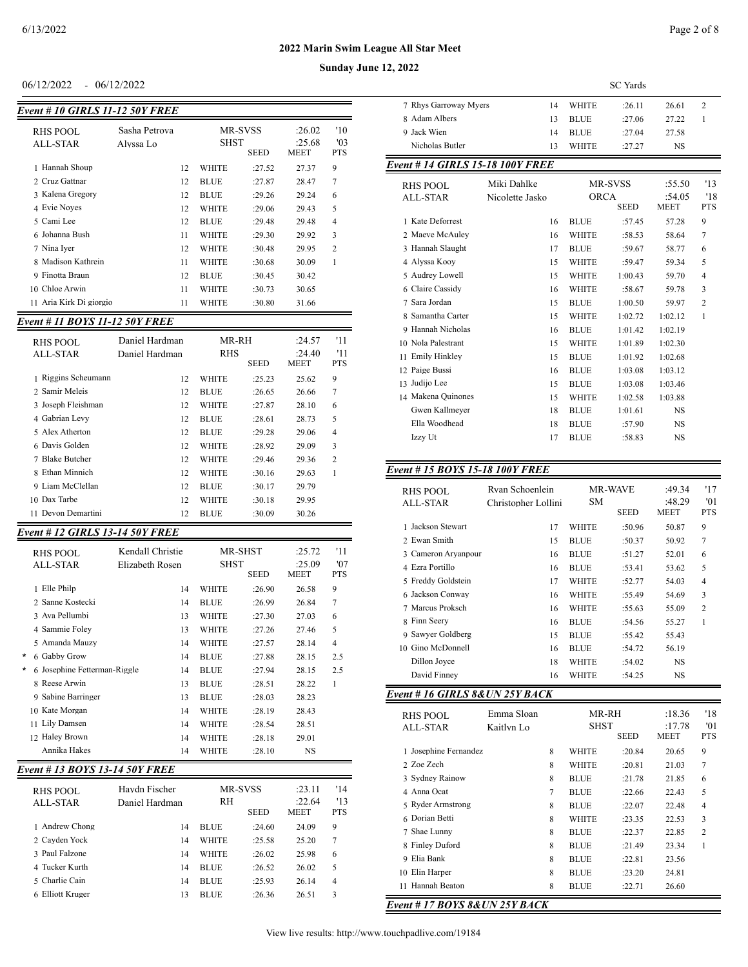### $06/12/2022 - 06/12/2022$

| <b>Event # 10 GIRLS 11-12 50Y FREE</b> |                            |    |                                              |        |                                 |                          |
|----------------------------------------|----------------------------|----|----------------------------------------------|--------|---------------------------------|--------------------------|
| RHS POOL<br>ALL-STAR                   | Sasha Petrova<br>Alvssa Lo |    | <b>MR-SVSS</b><br><b>SHST</b><br><b>SEED</b> |        | :26.02<br>:25.68<br><b>MEET</b> | '10<br>'03<br><b>PTS</b> |
| 1 Hannah Shoup                         |                            | 12 | <b>WHITE</b>                                 | :27.52 | 27.37                           | 9                        |
| 2 Cruz Gattnar                         |                            | 12 | <b>BLUE</b>                                  | :27.87 | 28.47                           | 7                        |
| 3 Kalena Gregory                       |                            | 12 | <b>BLUE</b>                                  | :29.26 | 29.24                           | 6                        |
| 4 Evie Noyes                           |                            | 12 | <b>WHITE</b>                                 | :29.06 | 29.43                           | 5                        |
| 5 Cami Lee                             |                            | 12 | <b>BLUE</b>                                  | :29.48 | 29.48                           | $\overline{4}$           |
| 6 Johanna Bush                         |                            | 11 | <b>WHITE</b>                                 | :29.30 | 29.92                           | 3                        |
| 7 Nina Iver                            |                            | 12 | <b>WHITE</b>                                 | :30.48 | 29.95                           | $\overline{2}$           |
| 8 Madison Kathrein                     |                            | 11 | <b>WHITE</b>                                 | :30.68 | 30.09                           | 1                        |
| Finotta Braun<br>9                     |                            | 12 | BLUE                                         | :30.45 | 30.42                           |                          |
| 10 Chloe Arwin                         |                            | 11 | <b>WHITE</b>                                 | :30.73 | 30.65                           |                          |
| Aria Kirk Di giorgio<br>11             |                            | 11 | WHITE                                        | :30.80 | 31.66                           |                          |

## *Event # 11 BOYS 11-12 50Y FREE*

| RHS POOL<br>ALL-STAR          | Daniel Hardman<br>Daniel Hardman | MR-RH<br><b>RHS</b> | <b>SEED</b> | :24.57<br>:24.40<br><b>MEET</b> | '11<br>'11<br><b>PTS</b> |
|-------------------------------|----------------------------------|---------------------|-------------|---------------------------------|--------------------------|
| 1 Riggins Scheumann           | 12                               | <b>WHITE</b>        | :25.23      | 25.62                           | 9                        |
| 2 Samir Meleis                | 12                               | <b>BLUE</b>         | :26.65      | 26.66                           | 7                        |
| 3 Joseph Fleishman            | 12                               | <b>WHITE</b>        | :27.87      | 28.10                           | 6                        |
| Gabrian Levy<br>$\mathbf 4$   | 12                               | <b>BLUE</b>         | :28.61      | 28.73                           | 5                        |
| 5 Alex Atherton               | 12                               | <b>BLUE</b>         | :29.28      | 29.06                           | 4                        |
| 6 Davis Golden                | 12                               | <b>WHITE</b>        | :28.92      | 29.09                           | 3                        |
| <b>Blake Butcher</b><br>7     | 12                               | <b>WHITE</b>        | :29.46      | 29.36                           | $\overline{c}$           |
| Ethan Minnich<br>$\mathbf{R}$ | 12                               | <b>WHITE</b>        | :30.16      | 29.63                           | 1                        |
| 9 Liam McClellan              | 12                               | <b>BLUE</b>         | :30.17      | 29.79                           |                          |
| 10 Dax Tarbe                  | 12                               | WHITE               | :30.18      | 29.95                           |                          |
| Devon Demartini               | 12                               | BLUE                | :30.09      | 30.26                           |                          |

# *Event # 12 GIRLS 13-14 50Y FREE*

|         | RHS POOL<br>ALL-STAR         | Kendall Christie<br>Elizabeth Rosen |    | <b>SHST</b>  | MR-SHST<br><b>SEED</b> | :25.72<br>:25.09<br><b>MEET</b> | '11<br>'07<br><b>PTS</b> |
|---------|------------------------------|-------------------------------------|----|--------------|------------------------|---------------------------------|--------------------------|
|         | 1 Elle Philp                 |                                     | 14 | WHITE        | :26.90                 | 26.58                           | 9                        |
|         | 2. Sanne Kostecki            |                                     | 14 | <b>BLUE</b>  | :26.99                 | 26.84                           | 7                        |
|         | 3 Ava Pellumbi               |                                     | 13 | <b>WHITE</b> | :27.30                 | 27.03                           | 6                        |
|         | 4 Sammie Folev               |                                     | 13 | <b>WHITE</b> | :27.26                 | 27.46                           | 5                        |
|         | 5 Amanda Mauzy               |                                     | 14 | <b>WHITE</b> | :27.57                 | 28.14                           | $\overline{4}$           |
| $\star$ | 6 Gabby Grow                 |                                     | 14 | <b>BLUE</b>  | :27.88                 | 28.15                           | 2.5                      |
|         | 6 Josephine Fetterman-Riggle |                                     | 14 | <b>BLUE</b>  | :27.94                 | 28.15                           | 2.5                      |
|         | 8 Reese Arwin                |                                     | 13 | <b>BLUE</b>  | :28.51                 | 28.22                           | 1                        |
|         | 9 Sabine Barringer           |                                     | 13 | <b>BLUE</b>  | :28.03                 | 28.23                           |                          |
|         | 10 Kate Morgan               |                                     | 14 | <b>WHITE</b> | :28.19                 | 28.43                           |                          |
|         | 11 Lily Damsen               |                                     | 14 | WHITE        | :28.54                 | 28.51                           |                          |
|         | 12 Haley Brown               |                                     | 14 | WHITE        | :28.18                 | 29.01                           |                          |
|         | Annika Hakes                 |                                     | 14 | WHITE        | :28.10                 | NS                              |                          |

# *Event # 13 BOYS 13-14 50Y FREE*

| RHS POOL<br>ALL-STAR | Havdn Fischer<br>Daniel Hardman | <b>MR-SVSS</b><br><b>RH</b><br><b>SEED</b> |        | :23.11<br>:22.64<br><b>MEET</b> | '14<br>13<br><b>PTS</b> |
|----------------------|---------------------------------|--------------------------------------------|--------|---------------------------------|-------------------------|
| 1 Andrew Chong       | 14                              | <b>BLUE</b>                                | :24.60 | 24.09                           | 9                       |
| 2 Cayden Yock        | 14                              | <b>WHITE</b>                               | :25.58 | 25.20                           | $7\phantom{.0}$         |
| 3 Paul Falzone       | 14                              | <b>WHITE</b>                               | :26.02 | 25.98                           | 6                       |
| 4 Tucker Kurth       | 14                              | <b>BLUE</b>                                | :26.52 | 26.02                           | 5                       |
| 5 Charlie Cain       | 14                              | <b>BLUE</b>                                | :25.93 | 26.14                           | $\overline{4}$          |
| 6 Elliott Kruger     | 13                              | <b>BLUE</b>                                | :26.36 | 26.51                           | 3                       |

|                                         |                 |    |              | <b>SC</b> Yards |                       |                   |
|-----------------------------------------|-----------------|----|--------------|-----------------|-----------------------|-------------------|
| 7 Rhys Garroway Myers                   |                 | 14 | <b>WHITE</b> | :26.11          | 26.61                 | $\mathfrak{D}$    |
| 8 Adam Albers                           |                 | 13 | <b>BLUE</b>  | :27.06          | 27.22                 | 1                 |
| 9 Jack Wien                             |                 | 14 | <b>BLUE</b>  | :27.04          | 27.58                 |                   |
| Nicholas Butler                         |                 | 13 | <b>WHITE</b> | :27.27          | <b>NS</b>             |                   |
| <b>Event # 14 GIRLS 15-18 100Y FREE</b> |                 |    |              |                 |                       |                   |
| <b>RHS POOL</b>                         | Miki Dahlke     |    |              | <b>MR-SVSS</b>  | :55.50                | '13               |
| ALL-STAR                                | Nicolette Jasko |    | <b>ORCA</b>  | <b>SEED</b>     | :54.05<br><b>MEET</b> | '18<br><b>PTS</b> |
| 1 Kate Deforrest                        |                 | 16 | <b>BLUE</b>  | :57.45          | 57.28                 | 9                 |
| 2 Maeve McAuley                         |                 | 16 | <b>WHITE</b> | :58.53          | 58.64                 | $\overline{7}$    |
| 3 Hannah Slaught                        |                 | 17 | <b>BLUE</b>  | :59.67          | 58.77                 | 6                 |
| 4 Alyssa Kooy                           |                 | 15 | <b>WHITE</b> | :59.47          | 59.34                 | 5                 |
| 5 Audrey Lowell                         |                 | 15 | <b>WHITE</b> | 1:00.43         | 59.70                 | $\overline{4}$    |
| 6 Claire Cassidy                        |                 | 16 | <b>WHITE</b> | :58.67          | 59.78                 | 3                 |
| 7 Sara Jordan                           |                 | 15 | <b>BLUE</b>  | 1:00.50         | 59.97                 | $\overline{c}$    |
| 8 Samantha Carter                       |                 | 15 | <b>WHITE</b> | 1:02.72         | 1:02.12               | $\mathbf{1}$      |
| 9 Hannah Nicholas                       |                 | 16 | <b>BLUE</b>  | 1:01.42         | 1:02.19               |                   |
| 10 Nola Palestrant                      |                 | 15 | <b>WHITE</b> | 1:01.89         | 1:02.30               |                   |
| <b>Emily Hinkley</b><br>11              |                 | 15 | <b>BLUE</b>  | 1:01.92         | 1:02.68               |                   |
| 12 Paige Bussi                          |                 | 16 | <b>BLUE</b>  | 1:03.08         | 1:03.12               |                   |
| 13 Judijo Lee                           |                 | 15 | <b>BLUE</b>  | 1:03.08         | 1:03.46               |                   |
| 14 Makena Quinones                      |                 | 15 | <b>WHITE</b> | 1:02.58         | 1:03.88               |                   |
| Gwen Kallmeyer                          |                 | 18 | <b>BLUE</b>  | 1:01.61         | <b>NS</b>             |                   |
| Ella Woodhead                           |                 | 18 | <b>BLUE</b>  | :57.90          | <b>NS</b>             |                   |
| Izzy Ut                                 |                 | 17 | <b>BLUE</b>  | :58.83          | <b>NS</b>             |                   |

#### *Event # 15 BOYS 15-18 100Y FREE*

| RHS POOL<br>ALL-STAR | Rvan Schoenlein<br>Christopher Lollini | <b>SM</b>    | <b>MR-WAVE</b><br><b>SEED</b> | :49.34<br>:48.29<br><b>MEET</b> | '17<br>'01<br><b>PTS</b> |
|----------------------|----------------------------------------|--------------|-------------------------------|---------------------------------|--------------------------|
| Jackson Stewart      | 17                                     | WHITE        | :50.96                        | 50.87                           | 9                        |
| 2 Ewan Smith         | 15                                     | <b>BLUE</b>  | :50.37                        | 50.92                           | 7                        |
| 3 Cameron Aryanpour  | 16                                     | <b>BLUE</b>  | :51.27                        | 52.01                           | 6                        |
| 4 Ezra Portillo      | 16                                     | <b>BLUE</b>  | :53.41                        | 53.62                           | 5                        |
| 5 Freddy Goldstein   | 17                                     | WHITE        | :52.77                        | 54.03                           | 4                        |
| 6 Jackson Conway     | 16                                     | <b>WHITE</b> | :55.49                        | 54.69                           | 3                        |
| 7 Marcus Proksch     | 16                                     | <b>WHITE</b> | :55.63                        | 55.09                           | $\overline{c}$           |
| 8 Finn Seery         | 16                                     | <b>BLUE</b>  | :54.56                        | 55.27                           | 1                        |
| 9 Sawyer Goldberg    | 15                                     | <b>BLUE</b>  | :55.42                        | 55.43                           |                          |
| 10 Gino McDonnell    | 16                                     | <b>BLUE</b>  | :54.72                        | 56.19                           |                          |
| Dillon Joyce         | 18                                     | WHITE        | :54.02                        | NS.                             |                          |
| David Finney         | 16                                     | WHITE        | :54.25                        | NS                              |                          |

## *Event # 16 GIRLS 8&UN 25Y BACK*

| RHS POOL<br>ALL-STAR                   | Emma Sloan<br>Kaitlyn Lo |   | MR-RH<br>SHST | <b>SEED</b> | :18.36<br>:17.78<br><b>MEET</b> | '18<br>'01<br><b>PTS</b> |
|----------------------------------------|--------------------------|---|---------------|-------------|---------------------------------|--------------------------|
| 1 Josephine Fernandez                  |                          | 8 | WHITE         | :20.84      | 20.65                           | 9                        |
| 2. Zoe Zech                            |                          | 8 | WHITE         | :20.81      | 21.03                           | 7                        |
| 3 Sydney Rainow                        |                          | 8 | <b>BLUE</b>   | :21.78      | 21.85                           | 6                        |
| 4 Anna Ocat                            |                          | 7 | <b>BLUE</b>   | :22.66      | 22.43                           | 5                        |
| 5 Ryder Armstrong                      |                          | 8 | <b>BLUE</b>   | :22.07      | 22.48                           | 4                        |
| 6 Dorian Betti                         |                          | 8 | WHITE         | :23.35      | 22.53                           | 3                        |
| 7 Shae Lunny                           |                          | 8 | <b>BLUE</b>   | :22.37      | 22.85                           | $\overline{c}$           |
| 8 Finley Duford                        |                          | 8 | <b>BLUE</b>   | :21.49      | 23.34                           | 1                        |
| Elia Bank<br>9                         |                          | 8 | <b>BLUE</b>   | :22.81      | 23.56                           |                          |
| 10 Elin Harper                         |                          | 8 | <b>BLUE</b>   | :23.20      | 24.81                           |                          |
| Hannah Beaton<br>11                    |                          | 8 | <b>BLUE</b>   | :22.71      | 26.60                           |                          |
| $1.0.17$ POIG 0.0 LIMIT A 2 V P $1.01$ |                          |   |               |             |                                 |                          |

*Event # 17 BOYS 8&UN 25Y BACK*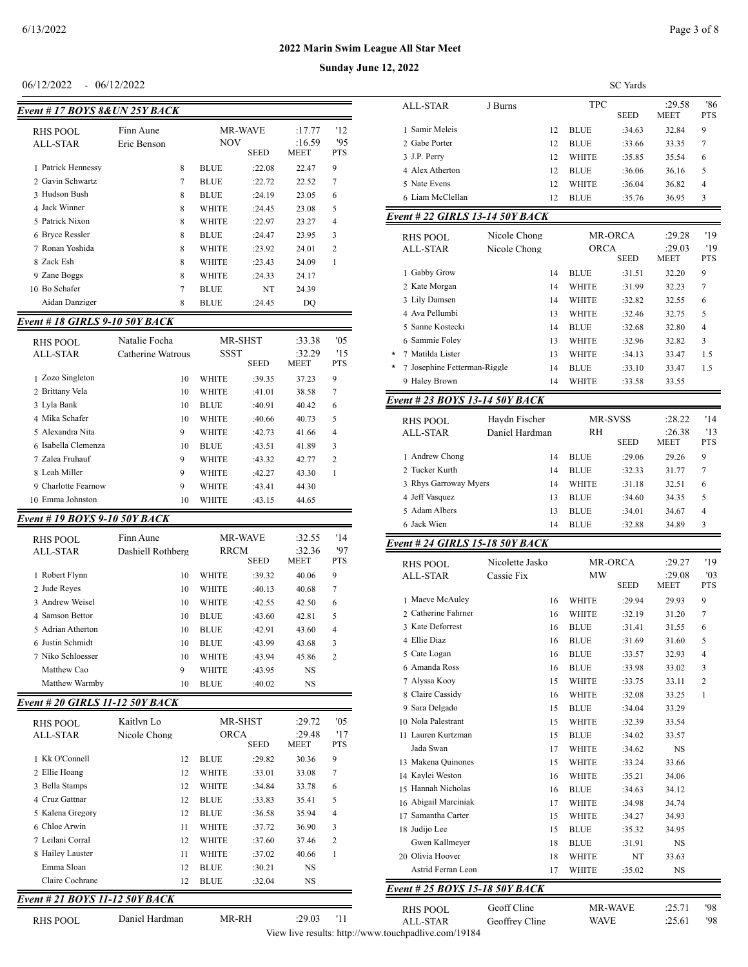| Event # 17 BOYS 8&UN 25Y BACK |             |   |                                             |        |                       |                  |
|-------------------------------|-------------|---|---------------------------------------------|--------|-----------------------|------------------|
| RHS POOL                      | Finn Aune   |   | <b>MR-WAVE</b><br><b>NOV</b><br><b>SEED</b> |        | :17.77                | '12              |
| ALL-STAR                      | Eric Benson |   |                                             |        | :16.59<br><b>MEET</b> | 95<br><b>PTS</b> |
| 1 Patrick Hennessy            |             | 8 | <b>BLUE</b>                                 | :22.08 | 22.47                 | 9                |
| 2 Gavin Schwartz              |             | 7 | <b>BLUE</b>                                 | :22.72 | 22.52                 | $\overline{7}$   |
| 3 Hudson Bush                 |             | 8 | <b>BLUE</b>                                 | :24.19 | 23.05                 | 6                |
| 4 Jack Winner                 |             | 8 | WHITE                                       | :24.45 | 23.08                 | 5                |
| 5 Patrick Nixon               |             | 8 | <b>WHITE</b>                                | :22.97 | 23.27                 | $\overline{4}$   |
| 6 Bryce Ressler               |             | 8 | <b>BLUE</b>                                 | :24.47 | 23.95                 | 3                |
| 7 Ronan Yoshida               |             | 8 | <b>WHITE</b>                                | :23.92 | 24.01                 | $\overline{c}$   |
| 8 Zack Esh                    |             | 8 | <b>WHITE</b>                                | :23.43 | 24.09                 | 1                |
| 9 Zane Boggs                  |             | 8 | <b>WHITE</b>                                | :24.33 | 24.17                 |                  |
| Bo Schafer<br>10              |             | 7 | <b>BLUE</b>                                 | NT     | 24.39                 |                  |
| Aidan Danziger                |             | 8 | BLUE                                        | :24.45 | DO                    |                  |

#### *Event # 18 GIRLS 9-10 50Y BACK*

| RHS POOL<br>ALL-STAR | Natalie Focha<br>Catherine Watrous | <b>SSST</b>  | <b>MR-SHST</b><br><b>SEED</b> | :33.38<br>:32.29<br><b>MEET</b> | '0.5<br>15<br><b>PTS</b> |
|----------------------|------------------------------------|--------------|-------------------------------|---------------------------------|--------------------------|
| 1 Zozo Singleton     | 10                                 | WHITE        | :39.35                        | 37.23                           | 9                        |
| 2 Brittany Vela      | 10                                 | WHITE        | :41.01                        | 38.58                           | 7                        |
| 3 Lyla Bank          | 10                                 | BLUE         | :40.91                        | 40.42                           | 6                        |
| 4 Mika Schafer       | 10                                 | <b>WHITE</b> | :40.66                        | 40.73                           | 5                        |
| 5 Alexandra Nita     | 9                                  | WHITE        | :42.73                        | 41.66                           | 4                        |
| 6 Isabella Clemenza  | 10                                 | BLUE         | :43.51                        | 41.89                           | 3                        |
| 7 Zalea Fruhauf      | 9                                  | WHITE        | :43.32                        | 42.77                           | $\overline{c}$           |
| 8 Leah Miller        | 9                                  | WHITE        | :42.27                        | 43.30                           | 1                        |
| 9 Charlotte Fearnow  | 9                                  | WHITE        | :43.41                        | 44.30                           |                          |
| Emma Johnston<br>10. | 10                                 | WHITE        | :43.15                        | 44.65                           |                          |

#### *Event # 19 BOYS 9-10 50Y BACK*

| RHS POOL<br>ALL-STAR | Finn Aune<br>Dashiell Rothberg | <b>MR-WAVE</b><br><b>RRCM</b><br><b>SEED</b> |        | :32.55<br>:32.36<br><b>MEET</b> | '14<br>'97<br><b>PTS</b> |
|----------------------|--------------------------------|----------------------------------------------|--------|---------------------------------|--------------------------|
| 1 Robert Flynn       | 10                             | WHITE                                        | :39.32 | 40.06                           | 9                        |
| 2 Jude Reyes         | 10                             | WHITE                                        | :40.13 | 40.68                           | 7                        |
| 3 Andrew Weisel      | 10                             | WHITE                                        | :42.55 | 42.50                           | 6                        |
| 4 Samson Bettor      | 10                             | <b>BLUE</b>                                  | :43.60 | 42.81                           | 5                        |
| 5 Adrian Atherton    | 10                             | <b>BLUE</b>                                  | :42.91 | 43.60                           | 4                        |
| 6 Justin Schmidt     | 10                             | <b>BLUE</b>                                  | :43.99 | 43.68                           | 3                        |
| 7 Niko Schloesser    | 10                             | WHITE                                        | :43.94 | 45.86                           | $\overline{c}$           |
| Matthew Cao          | 9                              | WHITE                                        | :43.95 | <b>NS</b>                       |                          |
| Matthew Warmby       | 10                             | <b>BLUE</b>                                  | :40.02 | <b>NS</b>                       |                          |

## *Event # 20 GIRLS 11-12 50Y BACK*

| RHS POOL<br>ALL-STAR | Kaitlyn Lo<br>Nicole Chong |    | MR-SHST<br>ORCA<br><b>SEED</b> |        | :29.72<br>:29.48<br><b>MEET</b> | '05<br>'17<br><b>PTS</b> |
|----------------------|----------------------------|----|--------------------------------|--------|---------------------------------|--------------------------|
| 1 Kk O'Connell       |                            | 12 | <b>BLUE</b>                    | :29.82 | 30.36                           | 9                        |
| 2 Ellie Hoang        |                            | 12 | <b>WHITE</b>                   | :33.01 | 33.08                           | 7                        |
| 3 Bella Stamps       |                            | 12 | <b>WHITE</b>                   | :34.84 | 33.78                           | 6                        |
| 4 Cruz Gattnar       |                            | 12 | <b>BLUE</b>                    | :33.83 | 35.41                           | 5                        |
| 5 Kalena Gregory     |                            | 12 | <b>BLUE</b>                    | :36.58 | 35.94                           | 4                        |
| 6 Chloe Arwin        |                            | 11 | <b>WHITE</b>                   | :37.72 | 36.90                           | 3                        |
| 7 Leilani Corral     |                            | 12 | <b>WHITE</b>                   | :37.60 | 37.46                           | $\overline{c}$           |
| 8 Hailey Lauster     |                            | 11 | <b>WHITE</b>                   | :37.02 | 40.66                           | 1                        |
| Emma Sloan           |                            | 12 | <b>BLUE</b>                    | :30.21 | <b>NS</b>                       |                          |
| Claire Cochrane      |                            | 12 | <b>BLUE</b>                    | :32.04 | <b>NS</b>                       |                          |

#### *Event # 21 BOYS 11-12 50Y BACK*

RHS POOL Daniel Hardman MR-RH :29.03 '11

06/12/2022 - 06/12/2022 SC Yards ALL-STAR J Burns TPC :29.58 '86<br>SEED MEET PTS  ${\tt MEET}$ 1 Samir Meleis 12 BLUE :34.63 32.84 9 2 Gabe Porter 12 BLUE :33.66 33.35 7 3 J.P. Perry 12 WHITE :35.85 35.54 6 4 Alex Atherton 12 BLUE :36.06 36.16 5 5 Nate Evens 12 WHITE :36.04 36.82 4 6 Liam McClellan 12 BLUE :35.76 36.95 3

#### *Event # 22 GIRLS 13-14 50Y BACK*

|        | RHS POOL<br>ALL-STAR         | Nicole Chong<br>Nicole Chong |    | ORCA         | MR-ORCA<br><b>SEED</b> | :29.28<br>:29.03<br><b>MEET</b> | '19<br>'19<br><b>PTS</b> |
|--------|------------------------------|------------------------------|----|--------------|------------------------|---------------------------------|--------------------------|
|        | 1 Gabby Grow                 |                              | 14 | <b>BLUE</b>  | :31.51                 | 32.20                           | 9                        |
|        | 2 Kate Morgan                |                              | 14 | <b>WHITE</b> | :31.99                 | 32.23                           | 7                        |
|        | 3 Lily Damsen                |                              | 14 | <b>WHITE</b> | :32.82                 | 32.55                           | 6                        |
|        | 4 Ava Pellumbi               |                              | 13 | <b>WHITE</b> | :32.46                 | 32.75                           | 5                        |
|        | 5 Sanne Kostecki             |                              | 14 | <b>BLUE</b>  | :32.68                 | 32.80                           | 4                        |
|        | 6 Sammie Folev               |                              | 13 | <b>WHITE</b> | :32.96                 | 32.82                           | 3                        |
| $\ast$ | Matilda Lister<br>7          |                              | 13 | <b>WHITE</b> | :34.13                 | 33.47                           | 1.5                      |
| *      | 7 Josephine Fetterman-Riggle |                              | 14 | <b>BLUE</b>  | :33.10                 | 33.47                           | 1.5                      |
|        | 9 Haley Brown                |                              | 14 | <b>WHITE</b> | :33.58                 | 33.55                           |                          |

#### *Event # 23 BOYS 13-14 50Y BACK*

| RHS POOL<br>ALL-STAR  | Havdn Fischer<br>Daniel Hardman | <b>RH</b>   | <b>MR-SVSS</b><br><b>SEED</b> | :28.22<br>:26.38<br><b>MEET</b> | '14<br>'13<br><b>PTS</b> |
|-----------------------|---------------------------------|-------------|-------------------------------|---------------------------------|--------------------------|
| 1 Andrew Chong        | 14                              | <b>BLUE</b> | :29.06                        | 29.26                           | 9                        |
| 2 Tucker Kurth        | 14                              | <b>BLUE</b> | :32.33                        | 31.77                           | 7                        |
| 3 Rhys Garroway Myers | 14                              | WHITE       | :31.18                        | 32.51                           | 6                        |
| 4 Jeff Vasquez        | 13                              | <b>BLUE</b> | :34.60                        | 34.35                           | 5                        |
| 5 Adam Albers         | 13                              | <b>BLUE</b> | :34.01                        | 34.67                           | 4                        |
| 6 Jack Wien           | 14                              | <b>BLUE</b> | :32.88                        | 34.89                           | ٩                        |

#### *Event # 24 GIRLS 15-18 50Y BACK*

| <b>RHS POOL</b>                | Nicolette Jasko |              | <b>MW</b>   | <b>MR-ORCA</b> | :29.27<br>:29.08 | '19<br>'03     |
|--------------------------------|-----------------|--------------|-------------|----------------|------------------|----------------|
| <b>ALL-STAR</b>                | Cassie Fix      |              |             | <b>SEED</b>    | <b>MEET</b>      | <b>PTS</b>     |
| 1 Maeve McAuley                | 16              | <b>WHITE</b> |             | :29.94         | 29.93            | 9              |
| 2. Catherine Fahrner           | 16              | <b>WHITE</b> |             | :32.19         | 31.20            | 7              |
| 3 Kate Deforrest               | 16              | <b>BLUE</b>  |             | :31.41         | 31.55            | 6              |
| 4 Ellie Diaz                   | 16              | <b>BLUE</b>  |             | :31.69         | 31.60            | 5              |
| 5 Cate Logan                   | 16              | <b>BLUE</b>  |             | :33.57         | 32.93            | $\overline{4}$ |
| 6 Amanda Ross                  | 16              | <b>BLUE</b>  |             | :33.98         | 33.02            | 3              |
| 7 Alyssa Kooy                  | 15              | <b>WHITE</b> |             | :33.75         | 33.11            | $\overline{2}$ |
| 8 Claire Cassidy               | 16              | <b>WHITE</b> |             | :32.08         | 33.25            | $\mathbf{1}$   |
| 9 Sara Delgado                 | 15              | <b>BLUE</b>  |             | :34.04         | 33.29            |                |
| 10 Nola Palestrant             | 15              | <b>WHITE</b> |             | :32.39         | 33.54            |                |
| 11 Lauren Kurtzman             | 15              | <b>BLUE</b>  |             | :34.02         | 33.57            |                |
| Jada Swan                      | 17              | <b>WHITE</b> |             | :34.62         | <b>NS</b>        |                |
| 13 Makena Quinones             | 15              | <b>WHITE</b> |             | :33.24         | 33.66            |                |
| 14 Kaylei Weston               | 16              | <b>WHITE</b> |             | :35.21         | 34.06            |                |
| 15 Hannah Nicholas             | 16              | <b>BLUE</b>  |             | :34.63         | 34.12            |                |
| 16 Abigail Marciniak           | 17              | <b>WHITE</b> |             | :34.98         | 34.74            |                |
| 17 Samantha Carter             | 15              | <b>WHITE</b> |             | :34.27         | 34.93            |                |
| 18 Judijo Lee                  | 15              | <b>BLUE</b>  |             | :35.32         | 34.95            |                |
| <b>Gwen Kallmever</b>          | 18              | <b>BLUE</b>  |             | :31.91         | <b>NS</b>        |                |
| 20 Olivia Hoover               | 18              | <b>WHITE</b> |             | NT             | 33.63            |                |
| Astrid Ferran Leon             | 17              | WHITE        |             | :35.02         | <b>NS</b>        |                |
| Event # 25 BOYS 15-18 50Y BACK |                 |              |             |                |                  |                |
| <b>RHS POOL</b>                | Geoff Cline     |              |             | MR-WAVE        | :25.71           | '98            |
| ALL-STAR                       | Geoffrey Cline  |              | <b>WAVE</b> |                | :25.61           | '98            |

View live results: http://www.touchpadlive.com/19184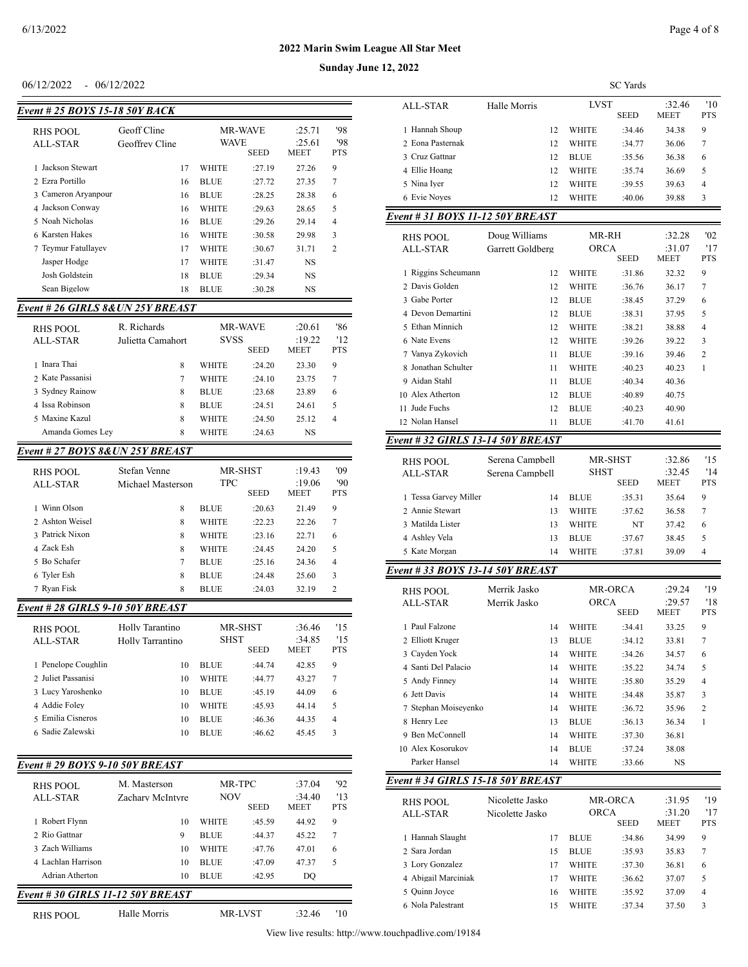**Sunday June 12, 2022**

## $06/12/2022 - 06/12/2022$

| Event # 25 BOYS 15-18 50Y BACK |                               |    |                        |             |                                 |                          |
|--------------------------------|-------------------------------|----|------------------------|-------------|---------------------------------|--------------------------|
| RHS POOL<br>ALL-STAR           | Geoff Cline<br>Geoffrey Cline |    | <b>MR-WAVE</b><br>WAVE | <b>SEED</b> | :25.71<br>:25.61<br><b>MEET</b> | '98<br>'98<br><b>PTS</b> |
| Jackson Stewart                |                               | 17 | <b>WHITE</b>           | :27.19      | 27.26                           | 9                        |
| 2 Ezra Portillo                |                               | 16 | <b>BLUE</b>            | :27.72      | 27.35                           | 7                        |
| 3 Cameron Aryanpour            |                               | 16 | <b>BLUE</b>            | :28.25      | 28.38                           | 6                        |
| 4 Jackson Conway               |                               | 16 | <b>WHITE</b>           | :29.63      | 28.65                           | 5                        |
| 5 Noah Nicholas                |                               | 16 | <b>BLUE</b>            | :29.26      | 29.14                           | 4                        |
| 6 Karsten Hakes                |                               | 16 | <b>WHITE</b>           | :30.58      | 29.98                           | 3                        |
| 7 Teymur Fatullayev            |                               | 17 | <b>WHITE</b>           | :30.67      | 31.71                           | $\mathfrak{D}$           |
| Jasper Hodge                   |                               | 17 | <b>WHITE</b>           | :31.47      | NS                              |                          |
| Josh Goldstein                 |                               | 18 | <b>BLUE</b>            | :29.34      | NS                              |                          |
| Sean Bigelow                   |                               | 18 | <b>BLUE</b>            | :30.28      | NS                              |                          |

#### *Event # 26 GIRLS 8&UN 25Y BREAST*

| RHS POOL<br>ALL-STAR | R. Richards<br>Julietta Camahort | <b>MR-WAVE</b><br><b>SVSS</b><br><b>SEED</b> |        | :20.61<br>:19.22<br><b>MEET</b> | '86<br>12<br><b>PTS</b> |
|----------------------|----------------------------------|----------------------------------------------|--------|---------------------------------|-------------------------|
| 1 Inara Thai         | 8                                | <b>WHITE</b>                                 | :24.20 | 23.30                           | 9                       |
| 2 Kate Passanisi     | 7                                | <b>WHITE</b>                                 | :24.10 | 23.75                           | 7                       |
| 3 Sydney Rainow      | 8                                | <b>BLUE</b>                                  | :23.68 | 23.89                           | 6                       |
| 4 Issa Robinson      | 8                                | <b>BLUE</b>                                  | :24.51 | 24.61                           | 5                       |
| 5 Maxine Kazul       | 8                                | <b>WHITE</b>                                 | :24.50 | 25.12                           | 4                       |
| Amanda Gomes Lev     | 8                                | WHITE                                        | :24.63 | NS                              |                         |

## *Event # 27 BOYS 8&UN 25Y BREAST*

| RHS POOL<br>ALL-STAR | Stefan Venne<br>Michael Masterson | <b>MR-SHST</b><br><b>TPC</b> | <b>SEED</b> | :19.43<br>:19.06<br><b>MEET</b> | '09<br>'90<br><b>PTS</b> |
|----------------------|-----------------------------------|------------------------------|-------------|---------------------------------|--------------------------|
| Winn Olson           | 8                                 | <b>BLUE</b>                  | :20.63      | 21.49                           | 9                        |
| 2 Ashton Weisel      | 8                                 | <b>WHITE</b>                 | :22.23      | 22.26                           | 7                        |
| 3 Patrick Nixon      | 8                                 | <b>WHITE</b>                 | :23.16      | 22.71                           | 6                        |
| 4 Zack Esh           | 8                                 | <b>WHITE</b>                 | :24.45      | 24.20                           | 5                        |
| 5 Bo Schafer         | 7                                 | <b>BLUE</b>                  | :25.16      | 24.36                           | $\overline{4}$           |
| 6 Tyler Esh          | 8                                 | <b>BLUE</b>                  | :24.48      | 25.60                           | 3                        |
| 7 Ryan Fisk          | 8                                 | <b>BLUE</b>                  | :24.03      | 32.19                           | $\mathfrak{D}$           |

## *Event # 28 GIRLS 9-10 50Y BREAST*

| RHS POOL<br>ALL-STAR | Holly Tarantino<br>Holly Tarrantino | SHST         | <b>MR-SHST</b><br><b>SEED</b> | :36.46<br>:34.85<br><b>MEET</b> | 15<br>15<br><b>PTS</b> |
|----------------------|-------------------------------------|--------------|-------------------------------|---------------------------------|------------------------|
| 1 Penelope Coughlin  | 10                                  | <b>BLUE</b>  | :44.74                        | 42.85                           | 9                      |
| 2 Juliet Passanisi   | 10                                  | <b>WHITE</b> | :44.77                        | 43.27                           | 7                      |
| 3 Lucy Yaroshenko    | 10                                  | <b>BLUE</b>  | :45.19                        | 44.09                           | 6                      |
| 4 Addie Foley        | 10                                  | <b>WHITE</b> | :45.93                        | 44.14                           | 5                      |
| 5 Emilia Cisneros    | 10                                  | <b>BLUE</b>  | :46.36                        | 44.35                           | $\overline{4}$         |
| 6 Sadie Zalewski     | 10                                  | <b>BLUE</b>  | :46.62                        | 45.45                           | ٩                      |

# *Event # 29 BOYS 9-10 50Y BREAST*

| RHS POOL<br>ALL-STAR              | M. Masterson.<br>Zachary McIntyre | MR-TPC<br><b>NOV</b> | <b>SEED</b> | :37.04<br>:34.40<br><b>MEET</b> | '92<br>13<br><b>PTS</b> |
|-----------------------------------|-----------------------------------|----------------------|-------------|---------------------------------|-------------------------|
| 1 Robert Flynn                    | 10                                | <b>WHITE</b>         | :45.59      | 44.92                           | 9                       |
| 2 Rio Gattnar                     | 9                                 | <b>BLUE</b>          | :44.37      | 45.22                           | 7                       |
| 3 Zach Williams                   | 10                                | <b>WHITE</b>         | :47.76      | 47.01                           | 6                       |
| 4 Lachlan Harrison                | 10                                | <b>BLUE</b>          | :47.09      | 47.37                           | 5                       |
| Adrian Atherton                   | 10                                | <b>BLUE</b>          | :42.95      | DO                              |                         |
| Event # 30 GIRLS 11-12 50Y BREAST |                                   |                      |             |                                 |                         |

#### 6/13/2022 Page 4 of 8

|                  |              | <b>SC</b> Yards |              |             |                       |                  |
|------------------|--------------|-----------------|--------------|-------------|-----------------------|------------------|
| ALL-STAR         | Halle Morris |                 | <b>LVST</b>  | <b>SEED</b> | :32.46<br><b>MEET</b> | 10<br><b>PTS</b> |
| 1 Hannah Shoup   |              | 12              | <b>WHITE</b> | :34.46      | 34.38                 | 9                |
| 2 Eona Pasternak |              | 12              | <b>WHITE</b> | :34.77      | 36.06                 | 7                |
| 3 Cruz Gattnar   |              | 12              | <b>BLUE</b>  | :35.56      | 36.38                 | 6                |
| 4 Ellie Hoang    |              | 12              | <b>WHITE</b> | :35.74      | 36.69                 | 5                |
| 5 Nina Iyer      |              | 12              | <b>WHITE</b> | :39.55      | 39.63                 | 4                |
| 6 Evie Noves     |              | 12              | WHITE        | :40.06      | 39.88                 | 3                |

## *Event # 31 BOYS 11-12 50Y BREAST*

| RHS POOL<br><b>ALL-STAR</b>       | Doug Williams<br>Garrett Goldberg | MR-RH<br>ORCA | <b>SEED</b>    | :32.28<br>:31.07<br><b>MEET</b> | '02<br>'17<br><b>PTS</b> |
|-----------------------------------|-----------------------------------|---------------|----------------|---------------------------------|--------------------------|
| 1 Riggins Scheumann               | 12                                | <b>WHITE</b>  | :31.86         | 32.32                           | 9                        |
| 2 Davis Golden                    | 12                                | <b>WHITE</b>  | :36.76         | 36.17                           | 7                        |
| 3 Gabe Porter                     | 12                                | <b>BLUE</b>   | :38.45         | 37.29                           | 6                        |
| 4 Devon Demartini                 | 12                                | <b>BLUE</b>   | :38.31         | 37.95                           | 5                        |
| 5 Ethan Minnich                   | 12                                | <b>WHITE</b>  | :38.21         | 38.88                           | $\overline{4}$           |
| 6 Nate Evens                      | 12                                | WHITE         | :39.26         | 39.22                           | 3                        |
| 7 Vanya Zykovich                  | 11                                | <b>BLUE</b>   | :39.16         | 39.46                           | $\overline{c}$           |
| 8 Jonathan Schulter               | 11                                | <b>WHITE</b>  | :40.23         | 40.23                           | 1                        |
| 9 Aidan Stahl                     | 11                                | <b>BLUE</b>   | :40.34         | 40.36                           |                          |
| 10 Alex Atherton                  | 12                                | <b>BLUE</b>   | :40.89         | 40.75                           |                          |
| Jude Fuchs<br>11                  | 12                                | <b>BLUE</b>   | :40.23         | 40.90                           |                          |
| 12 Nolan Hansel                   | 11                                | <b>BLUE</b>   | :41.70         | 41.61                           |                          |
| Event # 32 GIRLS 13-14 50Y BREAST |                                   |               |                |                                 |                          |
| RHS POOL                          | Serena Campbell                   |               | <b>MR-SHST</b> | :32.86                          | 15                       |
| ALL-STAR                          | Serena Campbell                   | <b>SHST</b>   |                | :32.45                          | '14                      |

| RHS POOL              | Serena Campbell | <b>MR-SHST</b> |             | :32.86                | 15                |
|-----------------------|-----------------|----------------|-------------|-----------------------|-------------------|
| ALL-STAR              | Serena Campbell | <b>SHST</b>    | <b>SEED</b> | :32.45<br><b>MEET</b> | '14<br><b>PTS</b> |
| 1 Tessa Garvey Miller | 14              | <b>BLUE</b>    | :35.31      | 35.64                 | 9                 |
| 2. Annie Stewart      | 13              | WHITE          | :37.62      | 36.58                 | 7                 |
| 3 Matilda Lister      | 13              | WHITE          | NT          | 37.42                 | 6                 |
| 4 Ashley Vela         | 13              | <b>BLUE</b>    | :37.67      | 38.45                 | 5                 |
| 5 Kate Morgan         | 14              | WHITE          | :37.81      | 39.09                 | 4                 |
|                       |                 |                |             |                       |                   |

## *Event # 33 BOYS 13-14 50Y BREAST*

| RHS POOL<br>ALL-STAR | Merrik Jasko<br>Merrik Jasko |    | ORCA         | <b>MR-ORCA</b><br><b>SEED</b> | :29.24<br>:29.57<br><b>MEET</b> | '19<br>'18<br><b>PTS</b> |
|----------------------|------------------------------|----|--------------|-------------------------------|---------------------------------|--------------------------|
| 1 Paul Falzone       |                              | 14 | WHITE        | :34.41                        | 33.25                           | 9                        |
| 2 Elliott Kruger     |                              | 13 | <b>BLUE</b>  | :34.12                        | 33.81                           | 7                        |
| 3 Cayden Yock        |                              | 14 | WHITE        | :34.26                        | 34.57                           | 6                        |
| 4 Santi Del Palacio  |                              | 14 | WHITE        | :35.22                        | 34.74                           | 5                        |
| 5 Andy Finney        |                              | 14 | WHITE        | :35.80                        | 35.29                           | 4                        |
| 6 Jett Davis         |                              | 14 | WHITE        | :34.48                        | 35.87                           | 3                        |
| 7 Stephan Moiseyenko |                              | 14 | <b>WHITE</b> | :36.72                        | 35.96                           | $\overline{c}$           |
| 8 Henry Lee          |                              | 13 | <b>BLUE</b>  | :36.13                        | 36.34                           | 1                        |
| 9 Ben McConnell      |                              | 14 | <b>WHITE</b> | :37.30                        | 36.81                           |                          |
| 10 Alex Kosorukov    |                              | 14 | <b>BLUE</b>  | :37.24                        | 38.08                           |                          |
| Parker Hansel        |                              | 14 | WHITE        | :33.66                        | <b>NS</b>                       |                          |

## *Event # 34 GIRLS 15-18 50Y BREAST*

| RHS POOL<br>ALL-STAR | Nicolette Jasko<br>Nicolette Jasko | ORCA        | <b>MR-ORCA</b><br><b>SEED</b> | :31.95<br>:31.20<br><b>MEET</b> | '19<br>'17<br><b>PTS</b> |
|----------------------|------------------------------------|-------------|-------------------------------|---------------------------------|--------------------------|
| 1 Hannah Slaught     | 17                                 | <b>BLUE</b> | :34.86                        | 34.99                           | 9                        |
| 2 Sara Jordan        | 15                                 | <b>BLUE</b> | :35.93                        | 35.83                           | 7                        |
| 3 Lory Gonzalez      | 17                                 | WHITE       | :37.30                        | 36.81                           | 6                        |
| 4 Abigail Marciniak  | 17                                 | WHITE       | :36.62                        | 37.07                           | 5                        |
| 5 Ouinn Joyce        | 16                                 | WHITE       | :35.92                        | 37.09                           | 4                        |
| Nola Palestrant      | 15                                 | WHITE       | :37.34                        | 37.50                           | 3                        |

View live results: http://www.touchpadlive.com/19184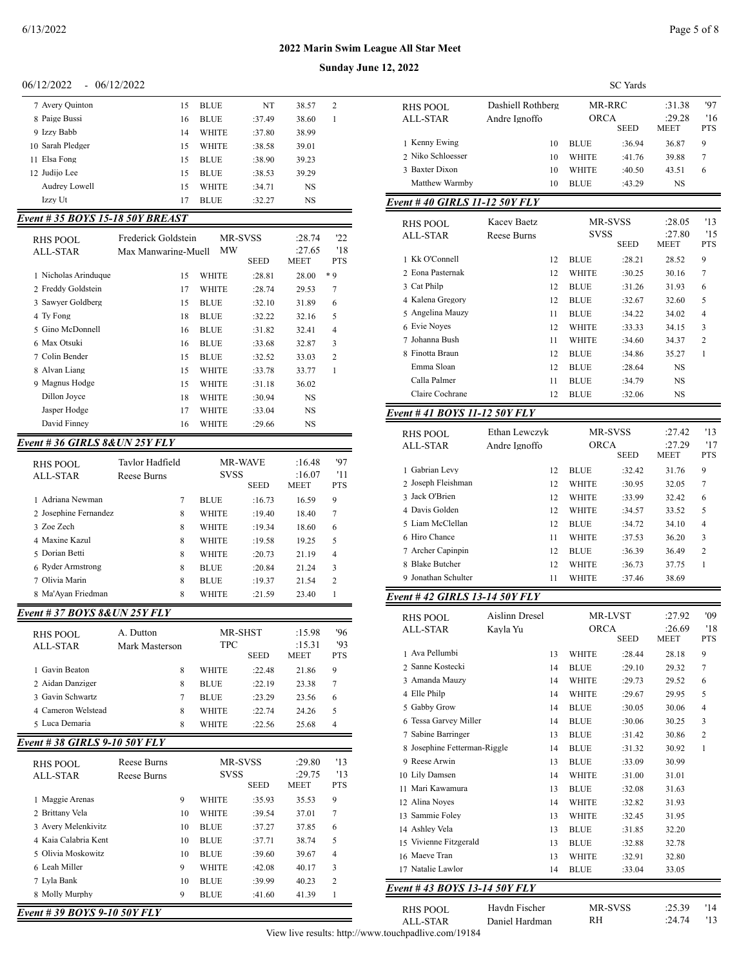## $06/12/2022 - 06/12/2022$

| 7 Avery Quinton  | 15 | <b>BLUE</b>  | NT     | 38.57     | 2 |
|------------------|----|--------------|--------|-----------|---|
| 8 Paige Bussi    | 16 | <b>BLUE</b>  | :37.49 | 38.60     |   |
| 9 Izzy Babb      | 14 | <b>WHITE</b> | :37.80 | 38.99     |   |
| 10 Sarah Pledger | 15 | <b>WHITE</b> | :38.58 | 39.01     |   |
| 11 Elsa Fong     | 15 | <b>BLUE</b>  | :38.90 | 39.23     |   |
| 12 Judijo Lee    | 15 | <b>BLUE</b>  | :38.53 | 39.29     |   |
| Audrey Lowell    | 15 | <b>WHITE</b> | :34.71 | <b>NS</b> |   |
| Izzy Ut          | 17 | <b>BLUE</b>  | :32.27 | <b>NS</b> |   |
|                  |    |              |        |           |   |

# *Event # 35 BOYS 15-18 50Y BREAST*

| RHS POOL                       | Frederick Goldstein |              | <b>MR-SVSS</b> | :28.74                | '22               |
|--------------------------------|---------------------|--------------|----------------|-----------------------|-------------------|
| ALL-STAR                       | Max Manwaring-Muell | MW           | <b>SEED</b>    | :27.65<br><b>MEET</b> | '18<br><b>PTS</b> |
| 1 Nicholas Arinduque           | 15                  | <b>WHITE</b> | :28.81         | 28.00                 | * 9               |
| 2 Freddy Goldstein             | 17                  | <b>WHITE</b> | :28.74         | 29.53                 | 7                 |
| 3 Sawyer Goldberg              | 15                  | <b>BLUE</b>  | :32.10         | 31.89                 | 6                 |
| 4 Ty Fong                      | 18                  | <b>BLUE</b>  | :32.22         | 32.16                 | 5                 |
| 5 Gino McDonnell               | 16                  | <b>BLUE</b>  | :31.82         | 32.41                 | 4                 |
| 6 Max Otsuki                   | 16                  | <b>BLUE</b>  | :33.68         | 32.87                 | 3                 |
| 7 Colin Bender                 | 15                  | <b>BLUE</b>  | :32.52         | 33.03                 | $\overline{c}$    |
| 8 Alvan Liang                  | 15                  | <b>WHITE</b> | :33.78         | 33.77                 | 1                 |
| 9 Magnus Hodge                 | 15                  | <b>WHITE</b> | :31.18         | 36.02                 |                   |
| Dillon Jovce                   | 18                  | <b>WHITE</b> | :30.94         | NS                    |                   |
| Jasper Hodge                   | 17                  | <b>WHITE</b> | :33.04         | <b>NS</b>             |                   |
| David Finney                   | 16                  | <b>WHITE</b> | :29.66         | NS.                   |                   |
| Event # 36 GIRLS 8& UN 25Y FLY |                     |              |                |                       |                   |

| RHS POOL<br>ALL-STAR  | Tavlor Hadfield<br>Reese Burns | <b>SVSS</b>  | <b>MR-WAVE</b><br><b>SEED</b> | :16.48<br>:16.07<br><b>MEET</b> | '97<br>'11<br><b>PTS</b> |
|-----------------------|--------------------------------|--------------|-------------------------------|---------------------------------|--------------------------|
| 1 Adriana Newman      | 7                              | <b>BLUE</b>  | :16.73                        | 16.59                           | 9                        |
| 2 Josephine Fernandez | 8                              | <b>WHITE</b> | :19.40                        | 18.40                           | 7                        |
| 3 Zoe Zech            | 8                              | WHITE        | :19.34                        | 18.60                           | 6                        |
| 4 Maxine Kazul        | 8                              | WHITE        | :19.58                        | 19.25                           | 5                        |
| 5 Dorian Betti        | 8                              | <b>WHITE</b> | :20.73                        | 21.19                           | 4                        |
| 6 Ryder Armstrong     | 8                              | <b>BLUE</b>  | :20.84                        | 21.24                           | 3                        |
| 7 Olivia Marin        | 8                              | <b>BLUE</b>  | :19.37                        | 21.54                           | $\overline{c}$           |
| 8 Ma'Avan Friedman    | 8                              | WHITE        | :21.59                        | 23.40                           |                          |

| Event # 37 BOYS 8&UN 25Y FLY  |                                          |    |                                      |                        |                                 |                         |
|-------------------------------|------------------------------------------|----|--------------------------------------|------------------------|---------------------------------|-------------------------|
| <b>RHS POOL</b><br>ALL-STAR   | A. Dutton<br>Mark Masterson              |    | MR-SHST<br><b>TPC</b><br><b>SEED</b> |                        | :15.98<br>:15.31<br><b>MEET</b> | 96<br>'93<br><b>PTS</b> |
| Gavin Beaton<br>$\mathbf{1}$  |                                          | 8  | <b>WHITE</b>                         | :22.48                 | 21.86                           | 9                       |
| 2 Aidan Danziger              |                                          | 8  | <b>BLUE</b>                          | :22.19                 | 23.38                           | $\overline{7}$          |
| 3 Gavin Schwartz              |                                          | 7  | <b>BLUE</b>                          | :23.29                 | 23.56                           | 6                       |
| 4 Cameron Welstead            |                                          | 8  | <b>WHITE</b>                         | :22.74                 | 24.26                           | 5                       |
| 5 Luca Demaria                |                                          | 8  | WHITE                                | :22.56                 | 25.68                           | 4                       |
| Event # 38 GIRLS 9-10 50Y FLY |                                          |    |                                      |                        |                                 |                         |
| <b>RHS POOL</b><br>ALL-STAR   | <b>Reese Burns</b><br><b>Reese Burns</b> |    | <b>SVSS</b>                          | MR-SVSS<br><b>SEED</b> | :29.80<br>:29.75<br><b>MEET</b> | '13<br>13<br><b>PTS</b> |
| 1 Maggie Arenas               |                                          | 9  | <b>WHITE</b>                         | :35.93                 | 35.53                           | 9                       |
| 2 Brittany Vela               |                                          | 10 | <b>WHITE</b>                         | :39.54                 | 37.01                           | $\overline{7}$          |
| 3 Avery Melenkivitz           |                                          | 10 | <b>BLUE</b>                          | :37.27                 | 37.85                           | 6                       |
| 4 Kaia Calabria Kent          |                                          | 10 | <b>BLUE</b>                          | :37.71                 | 38.74                           | 5                       |
| 5 Olivia Moskowitz            |                                          | 10 | <b>BLUE</b>                          | :39.60                 | 39.67                           | $\overline{4}$          |
| 6 Leah Miller                 |                                          | 9  | <b>WHITE</b>                         | :42.08                 | 40.17                           | 3                       |
| 7 Lyla Bank                   |                                          | 10 | <b>BLUE</b>                          | :39.99                 | 40.23                           | $\overline{c}$          |
| 8 Molly Murphy                |                                          | 9  | <b>BLUE</b>                          | :41.60                 | 41.39                           | 1                       |

*Event # 39 BOYS 9-10 50Y FLY*

#### **Sunday June 12**

| 12, 2022                           |                       |             | <b>SC</b> Yards |                |                |
|------------------------------------|-----------------------|-------------|-----------------|----------------|----------------|
|                                    | Dashiell Rothberg     |             | MR-RRC          | :31.38         | '97            |
| <b>RHS POOL</b><br><b>ALL-STAR</b> | Andre Ignoffo         | <b>ORCA</b> |                 | :29.28         | '16            |
|                                    |                       |             | <b>SEED</b>     | MEET           | <b>PTS</b>     |
| 1 Kenny Ewing                      | 10                    | <b>BLUE</b> | :36.94          | 36.87          | 9              |
| 2 Niko Schloesser                  | 10                    | WHITE       | :41.76          | 39.88          | 7              |
| 3 Baxter Dixon                     | 10                    | WHITE       | :40.50          | 43.51          | 6              |
| Matthew Warmby                     | 10                    | <b>BLUE</b> | :43.29          | NS             |                |
| Event #40 GIRLS 11-12 50Y FLY      |                       |             |                 |                |                |
| RHS POOL                           | Kacev Baetz           |             | <b>MR-SVSS</b>  | :28.05         | '13            |
| ALL-STAR                           | Reese Burns           | SVSS        |                 | :27.80         | '15            |
|                                    |                       |             | <b>SEED</b>     | MEET           | <b>PTS</b>     |
| 1 Kk O'Connell                     | 12                    | BLUE        | :28.21          | 28.52          | 9              |
| 2 Eona Pasternak                   | 12                    | WHITE       | :30.25          | 30.16          | 7              |
| 3 Cat Philp                        | 12                    | <b>BLUE</b> | :31.26          | 31.93          | 6              |
| 4 Kalena Gregory                   | 12                    | <b>BLUE</b> | :32.67          | 32.60          | 5              |
| 5 Angelina Mauzy                   | 11                    | <b>BLUE</b> | :34.22          | 34.02          | 4              |
| 6 Evie Noyes                       | 12                    | WHITE       | :33.33          | 34.15          | 3              |
| 7 Johanna Bush                     | 11                    | WHITE       | :34.60          | 34.37          | $\overline{c}$ |
| 8 Finotta Braun                    | 12                    | <b>BLUE</b> | :34.86          | 35.27          | 1              |
| Emma Sloan                         | 12                    | <b>BLUE</b> | :28.64          | NS             |                |
| Calla Palmer                       | 11                    | <b>BLUE</b> | :34.79          | NS             |                |
| Claire Cochrane                    | 12                    | <b>BLUE</b> | :32.06          | NS             |                |
| Event #41 BOYS 11-12 50Y FLY       |                       |             |                 |                |                |
| <b>RHS POOL</b>                    | Ethan Lewczyk         |             | MR-SVSS         | :27.42         | '13            |
| <b>ALL-STAR</b>                    | Andre Ignoffo         | <b>ORCA</b> |                 | :27.29         | '17            |
|                                    |                       |             | <b>SEED</b>     | MEET           | PTS            |
| 1 Gabrian Levy                     | 12                    | <b>BLUE</b> | :32.42          | 31.76          | 9              |
| 2 Joseph Fleishman                 | 12                    | WHITE       | :30.95          | 32.05          | 7              |
| 3 Jack O'Brien                     | 12                    | WHITE       | :33.99          | 32.42          | 6              |
| 4 Davis Golden                     | 12                    | WHITE       | :34.57          | 33.52          | 5              |
| 5 Liam McClellan                   | 12                    | <b>BLUE</b> | :34.72          | 34.10          | $\overline{4}$ |
| 6 Hiro Chance                      | 11                    | WHITE       | :37.53          | 36.20          | 3              |
| 7 Archer Capinpin                  | 12                    | <b>BLUE</b> | :36.39          | 36.49          | $\overline{c}$ |
| 8 Blake Butcher                    | 12                    | WHITE       | :36.73          | 37.75          | 1              |
| 9 Jonathan Schulter                | 11                    | WHITE       | :37.46          | 38.69          |                |
| Event # 42 GIRLS 13-14 50Y FLY     |                       |             |                 |                |                |
| RHS POOL                           | <b>Aislinn Dresel</b> |             | MR-LVST         | :27.92         | '09            |
| ALL-STAR                           | Kayla Yu              | <b>ORCA</b> | SEED            | :26.69<br>MEET | '18<br>PTS     |
| 1 Ava Pellumbi                     |                       |             |                 |                |                |
| 2 Sanne Kostecki                   | 13                    | WHITE       | :28.44          | 28.18          | 9              |
| 3 Amanda Mauzy                     | 14                    | <b>BLUE</b> | :29.10          | 29.32          | 7              |
|                                    | 14                    | WHITE       | :29.73          | 29.52          | 6              |
| 4 Elle Philp                       | 14                    | WHITE       | :29.67          | 29.95          | 5              |
| 5 Gabby Grow                       | 14                    | <b>BLUE</b> | :30.05          | 30.06          | 4              |
| 6 Tessa Garvey Miller              | 14                    | BLUE        | :30.06          | 30.25          | 3              |
| 7 Sabine Barringer                 | 13                    | <b>BLUE</b> | :31.42          | 30.86          | 2              |
| 8 Josephine Fetterman-Riggle       | 14                    | BLUE        | :31.32          | 30.92          | 1              |
| 9 Reese Arwin                      | 13                    | BLUE        | :33.09          | 30.99          |                |
| 10 Lily Damsen                     | 14                    | WHITE       | :31.00          | 31.01          |                |
| 11 Mari Kawamura                   | 13                    | BLUE        | :32.08          | 31.63          |                |
| 12 Alina Noyes                     | 14                    | WHITE       | :32.82          | 31.93          |                |
| 13 Sammie Foley                    | 13                    | WHITE       | :32.45          | 31.95          |                |
| 14 Ashley Vela                     | 13                    | <b>BLUE</b> | :31.85          | 32.20          |                |
| 15 Vivienne Fitzgerald             | 13                    | BLUE        | :32.88          | 32.78          |                |
| 16 Maeve Tran                      | 13                    | WHITE       | :32.91          | 32.80          |                |
| 17 Natalie Lawlor                  | 14                    | <b>BLUE</b> | :33.04          | 33.05          |                |

*Event # 43 BOYS 13-14 50Y FLY*

| RHS POOL | Havdn Fischer  | MR-SVSS | :25.39 | '14 |
|----------|----------------|---------|--------|-----|
| ALL-STAR | Daniel Hardman | RH      | :24.74 | 13  |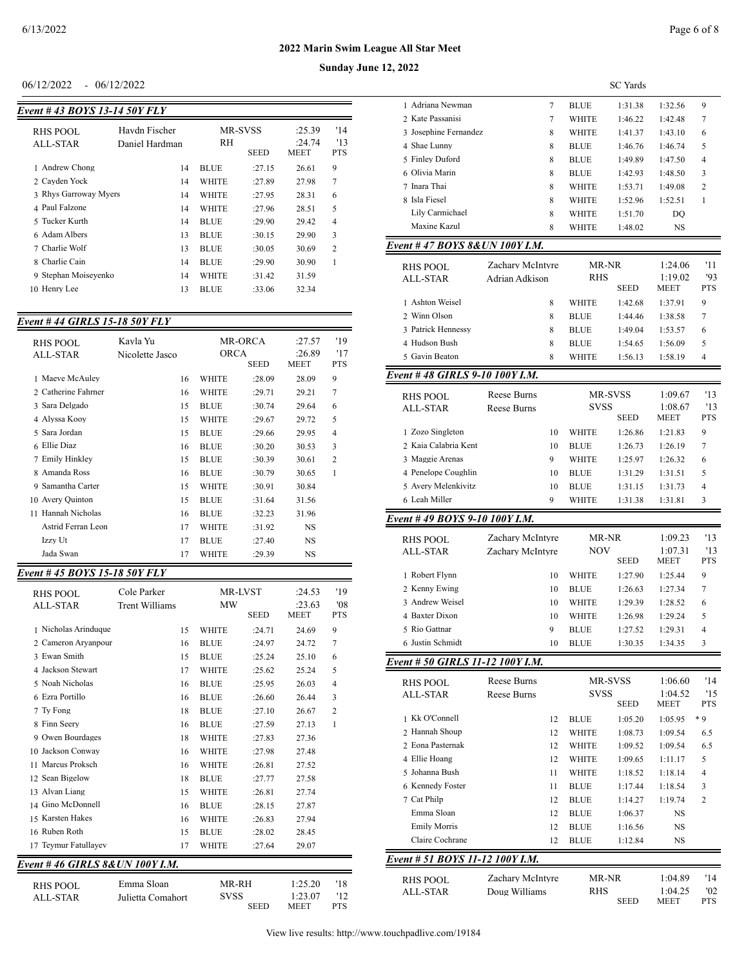### $06/12/2022 - 06/12/2022$

| Event #43 BOYS 13-14 50Y FLY |                |              |                |             |                |
|------------------------------|----------------|--------------|----------------|-------------|----------------|
|                              |                |              |                |             |                |
| RHS POOL                     | Havdn Fischer  |              | <b>MR-SVSS</b> | :25.39      | '14            |
| ALL-STAR                     | Daniel Hardman | RH           |                | :24.74      | 13             |
|                              |                |              | <b>SEED</b>    | <b>MEET</b> | <b>PTS</b>     |
| 1 Andrew Chong               | 14             | <b>BLUE</b>  | :27.15         | 26.61       | 9              |
| 2 Cayden Yock                | 14             | <b>WHITE</b> | :27.89         | 27.98       | 7              |
| 3 Rhys Garroway Myers        | 14             | <b>WHITE</b> | :27.95         | 28.31       | 6              |
| 4 Paul Falzone               | 14             | <b>WHITE</b> | :27.96         | 28.51       | 5              |
| 5 Tucker Kurth               | 14             | <b>BLUE</b>  | :29.90         | 29.42       | $\overline{4}$ |
| 6 Adam Albers                | 13             | <b>BLUE</b>  | :30.15         | 29.90       | 3              |
| 7 Charlie Wolf               | 13             | <b>BLUE</b>  | :30.05         | 30.69       | $\overline{2}$ |
| 8 Charlie Cain               | 14             | <b>BLUE</b>  | :29.90         | 30.90       | 1              |
| 9 Stephan Moisevenko         | 14             | <b>WHITE</b> | :31.42         | 31.59       |                |
| 10 Henry Lee                 | 13             | <b>BLUE</b>  | :33.06         | 32.34       |                |
|                              |                |              |                |             |                |

# *Event # 44 GIRLS 15-18 50Y FLY*

| $\frac{1}{2}$               |                             |              |                               |                          |                          |
|-----------------------------|-----------------------------|--------------|-------------------------------|--------------------------|--------------------------|
| RHS POOL<br><b>ALL-STAR</b> | Kavla Yu<br>Nicolette Jasco | ORCA         | <b>MR-ORCA</b><br><b>SEED</b> | :27.57<br>:26.89<br>MEET | '19<br>'17<br><b>PTS</b> |
| 1 Maeve McAuley             | 16                          | WHITE        | :28.09                        | 28.09                    | 9                        |
| 2 Catherine Fahrner         | 16                          | WHITE        | :29.71                        | 29.21                    | 7                        |
| 3 Sara Delgado              | 15                          | <b>BLUE</b>  | :30.74                        | 29.64                    | 6                        |
| 4 Alyssa Kooy               | 15                          | WHITE        | :29.67                        | 29.72                    | 5                        |
| 5 Sara Jordan               | 15                          | <b>BLUE</b>  | :29.66                        | 29.95                    | 4                        |
| Ellie Diaz<br>6             | 16                          | <b>BLUE</b>  | :30.20                        | 30.53                    | 3                        |
| 7 Emily Hinkley             | 15                          | <b>BLUE</b>  | :30.39                        | 30.61                    | $\overline{2}$           |
| 8 Amanda Ross               | 16                          | <b>BLUE</b>  | :30.79                        | 30.65                    | 1                        |
| 9 Samantha Carter           | 15                          | <b>WHITE</b> | :30.91                        | 30.84                    |                          |
| 10 Avery Quinton            | 15                          | <b>BLUE</b>  | :31.64                        | 31.56                    |                          |
| Hannah Nicholas<br>11       | 16                          | <b>BLUE</b>  | :32.23                        | 31.96                    |                          |
| Astrid Ferran Leon          | 17                          | WHITE        | :31.92                        | <b>NS</b>                |                          |
| Izzy Ut                     | 17                          | <b>BLUE</b>  | :27.40                        | NS.                      |                          |
| Jada Swan                   | 17                          | WHITE        | :29.39                        | NS                       |                          |

# *Event # 45 BOYS 15-18 50Y FLY*

| <b>RHS POOL</b><br>ALL-STAR     | Cole Parker<br>Trent Williams | <b>MW</b>    | <b>MR-LVST</b><br><b>SEED</b> | :24.53<br>:23.63<br><b>MEET</b> | '19<br>'08<br><b>PTS</b> |  |  |
|---------------------------------|-------------------------------|--------------|-------------------------------|---------------------------------|--------------------------|--|--|
| 1 Nicholas Arinduque            | 15                            | <b>WHITE</b> | :24.71                        | 24.69                           | 9                        |  |  |
| 2 Cameron Aryanpour             | 16                            | <b>BLUE</b>  | :24.97                        | 24.72                           | 7                        |  |  |
| 3 Ewan Smith                    | 15                            | <b>BLUE</b>  | :25.24                        | 25.10                           | 6                        |  |  |
| 4 Jackson Stewart               | 17                            | <b>WHITE</b> | :25.62                        | 25.24                           | 5                        |  |  |
| 5 Noah Nicholas                 | 16                            | <b>BLUE</b>  | :25.95                        | 26.03                           | $\overline{4}$           |  |  |
| 6 Ezra Portillo                 | 16                            | <b>BLUE</b>  | :26.60                        | 26.44                           | 3                        |  |  |
| 7 Ty Fong                       | 18                            | <b>BLUE</b>  | :27.10                        | 26.67                           | $\overline{c}$           |  |  |
| 8 Finn Seery                    | 16                            | <b>BLUE</b>  | :27.59                        | 27.13                           | 1                        |  |  |
| 9 Owen Bourdages                | 18                            | <b>WHITE</b> | :27.83                        | 27.36                           |                          |  |  |
| Jackson Conway<br>10            | 16                            | <b>WHITE</b> | :27.98                        | 27.48                           |                          |  |  |
| Marcus Proksch<br>11            | 16                            | <b>WHITE</b> | :26.81                        | 27.52                           |                          |  |  |
| 12 Sean Bigelow                 | 18                            | <b>BLUE</b>  | :27.77                        | 27.58                           |                          |  |  |
| 13 Alvan Liang                  | 15                            | <b>WHITE</b> | :26.81                        | 27.74                           |                          |  |  |
| 14 Gino McDonnell               | 16                            | <b>BLUE</b>  | :28.15                        | 27.87                           |                          |  |  |
| 15 Karsten Hakes                | 16                            | <b>WHITE</b> | :26.83                        | 27.94                           |                          |  |  |
| 16 Ruben Roth                   | 15                            | <b>BLUE</b>  | :28.02                        | 28.45                           |                          |  |  |
| 17 Teymur Fatullayev            | 17                            | WHITE        | :27.64                        | 29.07                           |                          |  |  |
| Event #46 GIRLS 8& UN 100Y I.M. |                               |              |                               |                                 |                          |  |  |
|                                 |                               |              |                               |                                 |                          |  |  |

ALL-STAR Julietta Comahort SVSS 1:23.07 '12

RHS POOL Emma Sloan MR-RH 1:25.20 '18<br>ALL-STAR Julietta Comahort SVSS 1:23.07 '12 MEET<sup>1</sup>

| 2, 2022                               |                    |              |                 |                 |                |
|---------------------------------------|--------------------|--------------|-----------------|-----------------|----------------|
|                                       |                    |              | <b>SC</b> Yards |                 |                |
| 1 Adriana Newman                      | 7                  | <b>BLUE</b>  | 1:31.38         | 1:32.56         | 9              |
| 2 Kate Passanisi                      | 7                  | WHITE        | 1:46.22         | 1:42.48         | 7              |
| 3 Josephine Fernandez                 | 8                  | WHITE        | 1:41.37         | 1:43.10         | 6              |
| 4 Shae Lunny                          | 8                  | <b>BLUE</b>  | 1:46.76         | 1:46.74         | 5              |
| 5 Finley Duford                       | 8                  | <b>BLUE</b>  | 1:49.89         | 1:47.50         | $\overline{4}$ |
| 6 Olivia Marin                        | 8                  | BLUE         | 1:42.93         | 1:48.50         | 3              |
| 7 Inara Thai                          | 8                  | WHITE        | 1:53.71         | 1:49.08         | 2              |
| 8 Isla Fiesel                         | 8                  | WHITE        | 1:52.96         | 1:52.51         | 1              |
| Lily Carmichael                       | 8                  | WHITE        | 1:51.70         | DQ              |                |
| Maxine Kazul                          | 8                  | WHITE        | 1:48.02         | NS              |                |
| Event # 47 BOYS 8&UN 100Y I.M.        |                    |              |                 |                 |                |
| <b>RHS POOL</b>                       | Zachary McIntyre   |              | MR-NR           |                 | '11            |
| <b>ALL-STAR</b>                       | Adrian Adkison     | RHS          |                 | 1:19.02         | '93            |
|                                       |                    |              | <b>SEED</b>     | MEET            | PTS            |
| 1 Ashton Weisel                       | 8                  | <b>WHITE</b> | 1:42.68         | 1:37.91         | 9              |
| 2 Winn Olson                          | 8                  | <b>BLUE</b>  | 1:44.46         | 1:38.58         | 7              |
| 3 Patrick Hennessy                    | 8                  | <b>BLUE</b>  | 1:49.04         | 1:53.57         | 6              |
| 4 Hudson Bush                         | 8                  | <b>BLUE</b>  | 1:54.65         | 1:56.09         | 5              |
| 5 Gavin Beaton                        | 8                  | WHITE        | 1:56.13         | 1:58.19         | $\overline{4}$ |
| Event # 48 GIRLS 9-10 100Y I.M.       |                    |              |                 |                 |                |
| RHS POOL                              | Reese Burns        |              | MR-SVSS         | 1:09.67         | '13            |
| ALL-STAR                              | <b>Reese Burns</b> | <b>SVSS</b>  |                 | 1:08.67         | '13            |
|                                       |                    |              | <b>SEED</b>     | MEET            | PTS            |
| 1 Zozo Singleton                      | 10                 | WHITE        | 1:26.86         | 1:21.83         | 9              |
| 2 Kaia Calabria Kent                  | 10                 | <b>BLUE</b>  | 1:26.73         | 1:26.19         | 7              |
| 3 Maggie Arenas                       | 9                  | WHITE        | 1:25.97         | 1:26.32         | 6              |
| 4 Penelope Coughlin                   | 10                 | <b>BLUE</b>  | 1:31.29         | 1:31.51         | 5              |
| 5 Avery Melenkivitz                   | 10                 | <b>BLUE</b>  | 1:31.15         | 1:31.73         | 4              |
| 6 Leah Miller                         | 9                  | WHITE        | 1:31.38         | 1:31.81         | 3              |
| <u>Event # 49 BOYS 9-10 100Y I.M.</u> |                    |              |                 |                 |                |
| RHS POOL                              | Zachary McIntyre   |              | MR-NR           |                 | '13            |
| <b>ALL-STAR</b>                       | Zachary McIntyre   |              | NOV             |                 | '13            |
|                                       |                    |              | <b>SEED</b>     | MEET            | PTS            |
| 1 Robert Flynn                        | 10                 | WHITE        | 1:27.90         | 1:25.44         | 9              |
| 2 Kenny Ewing                         | 10                 | <b>BLUE</b>  | 1:26.63         | 1:27.34         | 7              |
| 3 Andrew Weisel                       | 10                 | WHITE        | 1:29.39         | 1:28.52         | 6              |
| 4 Baxter Dixon                        | 10                 | WHITE        | 1:26.98         | 1:29.24         | 5              |
| 5 Rio Gattnar                         | 9                  | <b>BLUE</b>  | 1:27.52         | 1:29.31         | 4              |
| 6 Justin Schmidt                      | 10                 | <b>BLUE</b>  | 1:30.35         | 1:34.35         | 3              |
| Event # 50 GIRLS 11-12 100Y I.M.      |                    |              |                 |                 |                |
| <b>RHS POOL</b>                       | Reese Burns        |              | MR-SVSS         | 1:06.60         | '14            |
| <b>ALL-STAR</b>                       | Reese Burns        | svss         |                 | 1:04.52         | '15            |
|                                       |                    |              | SEED            | MEET            | PTS            |
| 1 Kk O'Connell                        | 12                 | <b>BLUE</b>  | 1:05.20         | 1:05.95         | * 9            |
| 2 Hannah Shoup                        | 12                 | WHITE        | 1:08.73         | 1:09.54         | 6.5            |
| 2 Eona Pasternak                      | 12                 | WHITE        | 1:09.52         | 1:09.54         | 6.5            |
| 4 Ellie Hoang                         | 12                 | WHITE        | 1:09.65         | 1:11.17         | 5              |
| 5 Johanna Bush                        | 11                 | WHITE        | 1:18.52         | 1:18.14         | 4              |
| 6 Kennedy Foster                      | 11                 | BLUE         | 1:17.44         | 1:18.54         | 3              |
| 7 Cat Philp                           | 12                 | <b>BLUE</b>  | 1:14.27         | 1:19.74         | 2              |
| Emma Sloan                            | 12                 | BLUE         | 1:06.37         | NS              |                |
| <b>Emily Morris</b>                   | 12                 | BLUE         | 1:16.56         | NS              |                |
| Claire Cochrane                       | 12                 | BLUE         | 1:12.84         | NS              |                |
| Event # 51 BOYS 11-12 100Y I.M.       |                    |              |                 |                 |                |
| RHS POOL                              | Zachary McIntyre   |              | MR-NR           | 1:04.89         | '14            |
| ALL-STAR                              | Doug Williams      | RHS          | SEED            | 1:04.25<br>MEET | '02<br>PTS     |
|                                       |                    |              |                 |                 |                |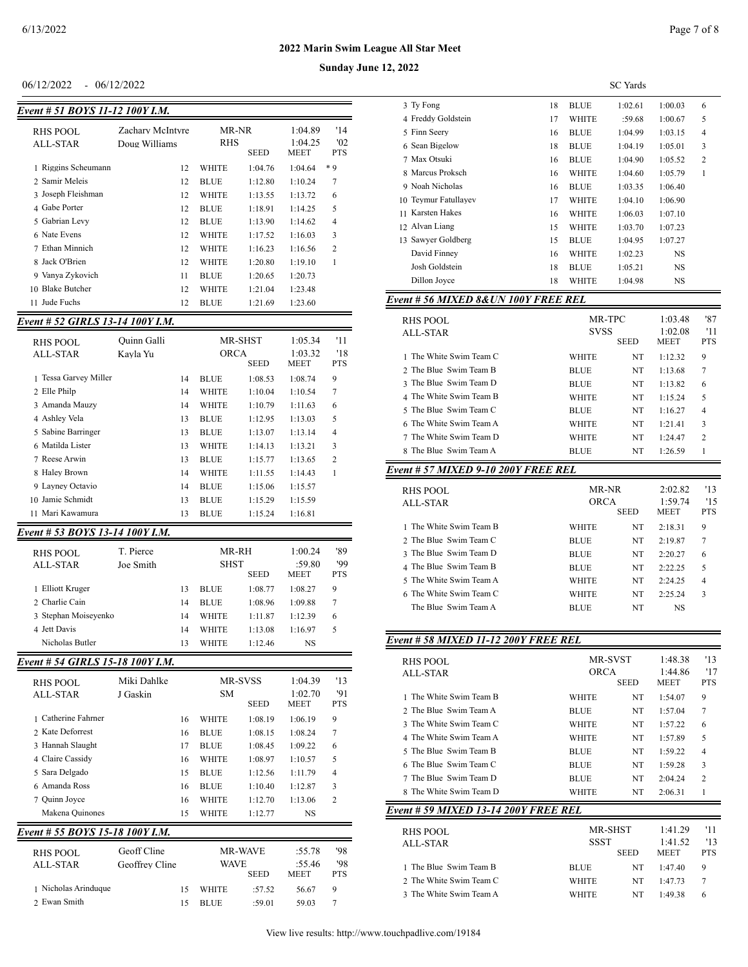#### $06/12/2022 - 06/12/2022$

| Event # 51 BOYS 11-12 100Y I.M. |                                   |                     |             |                                   |                          |  |  |  |  |
|---------------------------------|-----------------------------------|---------------------|-------------|-----------------------------------|--------------------------|--|--|--|--|
| RHS POOL<br>ALL-STAR            | Zachary McIntyre<br>Doug Williams | MR-NR<br><b>RHS</b> | <b>SEED</b> | 1:04.89<br>1:04.25<br><b>MEET</b> | '14<br>'02<br><b>PTS</b> |  |  |  |  |
| 1 Riggins Scheumann             | 12                                | <b>WHITE</b>        | 1:04.76     | 1:04.64                           | * 9                      |  |  |  |  |
| 2 Samir Meleis                  | 12                                | <b>BLUE</b>         | 1:12.80     | 1:10.24                           | 7                        |  |  |  |  |
| 3 Joseph Fleishman              | 12                                | <b>WHITE</b>        | 1:13.55     | 1:13.72                           | 6                        |  |  |  |  |
| 4 Gabe Porter                   | 12                                | <b>BLUE</b>         | 1:18.91     | 1:14.25                           | 5                        |  |  |  |  |
| 5 Gabrian Levy                  | 12                                | <b>BLUE</b>         | 1:13.90     | 1:14.62                           | $\overline{4}$           |  |  |  |  |
| 6 Nate Evens                    | 12                                | <b>WHITE</b>        | 1:17.52     | 1:16.03                           | 3                        |  |  |  |  |
| 7 Ethan Minnich                 | 12                                | <b>WHITE</b>        | 1:16.23     | 1:16.56                           | 2                        |  |  |  |  |
| 8 Jack O'Brien                  | 12                                | <b>WHITE</b>        | 1:20.80     | 1:19.10                           | 1                        |  |  |  |  |
| 9 Vanya Zykovich                | 11                                | <b>BLUE</b>         | 1:20.65     | 1:20.73                           |                          |  |  |  |  |
| <b>Blake Butcher</b><br>10      | 12                                | WHITE               | 1:21.04     | 1:23.48                           |                          |  |  |  |  |
| Jude Fuchs<br>11                | 12                                | <b>BLUE</b>         | 1:21.69     | 1:23.60                           |                          |  |  |  |  |

## *Event # 52 GIRLS 13-14 100Y I.M.*

| RHS POOL<br>ALL-STAR  | Ouinn Galli<br>Kavla Yu |    | ORCA        | <b>MR-SHST</b><br><b>SEED</b> | 1:05.34<br>1:03.32<br><b>MEET</b> | '11<br>'18<br><b>PTS</b> |
|-----------------------|-------------------------|----|-------------|-------------------------------|-----------------------------------|--------------------------|
| 1 Tessa Garvey Miller |                         | 14 | <b>BLUE</b> | 1:08.53                       | 1:08.74                           | 9                        |
| 2 Elle Philp          |                         | 14 | WHITE       | 1:10.04                       | 1:10.54                           | 7                        |
| 3 Amanda Mauzy        |                         | 14 | WHITE       | 1:10.79                       | 1:11.63                           | 6                        |
| 4 Ashley Vela         |                         | 13 | <b>BLUE</b> | 1:12.95                       | 1:13.03                           | 5                        |
| 5 Sabine Barringer    |                         | 13 | <b>BLUE</b> | 1:13.07                       | 1:13.14                           | 4                        |
| 6 Matilda Lister      |                         | 13 | WHITE       | 1:14.13                       | 1:13.21                           | 3                        |
| 7 Reese Arwin         |                         | 13 | <b>BLUE</b> | 1:15.77                       | 1:13.65                           | $\overline{c}$           |
| 8 Haley Brown         |                         | 14 | WHITE       | 1:11.55                       | 1:14.43                           | 1                        |
| 9 Lavney Octavio      |                         | 14 | <b>BLUE</b> | 1:15.06                       | 1:15.57                           |                          |
| 10 Jamie Schmidt      |                         | 13 | <b>BLUE</b> | 1:15.29                       | 1:15.59                           |                          |
| Mari Kawamura<br>11   |                         | 13 | <b>BLUE</b> | 1:15.24                       | 1:16.81                           |                          |

# *Event # 53 BOYS 13-14 100Y I.M.*

| RHS POOL<br>ALL-STAR | T. Pierce<br>Joe Smith |    | MR-RH<br><b>SHST</b> | <b>SEED</b> | 1:00.24<br>:59.80<br><b>MEET</b> | '89<br>'99<br><b>PTS</b> |
|----------------------|------------------------|----|----------------------|-------------|----------------------------------|--------------------------|
| Elliott Kruger       |                        | 13 | <b>BLUE</b>          | 1:08.77     | 1:08.27                          | 9                        |
| 2. Charlie Cain      |                        | 14 | <b>BLUE</b>          | 1:08.96     | 1:09.88                          | 7                        |
| 3 Stephan Moiseyenko |                        | 14 | <b>WHITE</b>         | 1:11.87     | 1:12.39                          | 6                        |
| 4 Jett Davis         |                        | 14 | WHITE                | 1:13.08     | 1:16.97                          | 5                        |
| Nicholas Butler      |                        | 13 | WHITE                | 1:12.46     | NS                               |                          |
|                      |                        |    |                      |             |                                  |                          |

#### *Event # 54 GIRLS 15-18 100Y I.M.*

| RHS POOL<br>ALL-STAR              | Miki Dahlke<br>J Gaskin |    | <b>MR-SVSS</b><br><b>SM</b><br><b>SEED</b> |                | 1:04.39<br>1:02.70<br><b>MEET</b> | 13<br>'91<br><b>PTS</b> |
|-----------------------------------|-------------------------|----|--------------------------------------------|----------------|-----------------------------------|-------------------------|
| Catherine Fahrner<br>$\mathbf{1}$ |                         | 16 | <b>WHITE</b>                               | 1:08.19        | 1:06.19                           | 9                       |
| 2 Kate Deforrest                  |                         | 16 | <b>BLUE</b>                                | 1:08.15        | 1:08.24                           | $\overline{7}$          |
| 3 Hannah Slaught                  |                         | 17 | <b>BLUE</b>                                | 1:08.45        | 1:09.22                           | 6                       |
| 4 Claire Cassidy                  |                         | 16 | <b>WHITE</b>                               | 1:08.97        | 1:10.57                           | 5                       |
| 5 Sara Delgado                    |                         | 15 | <b>BLUE</b>                                | 1:12.56        | 1:11.79                           | 4                       |
| 6 Amanda Ross                     |                         | 16 | <b>BLUE</b>                                | 1:10.40        | 1:12.87                           | 3                       |
| 7 Ouinn Joyce                     |                         | 16 | <b>WHITE</b>                               | 1:12.70        | 1:13.06                           | $\mathfrak{D}$          |
| Makena Quinones                   |                         | 15 | <b>WHITE</b>                               | 1:12.77        | <b>NS</b>                         |                         |
| Event # 55 BOYS 15-18 100Y I.M.   |                         |    |                                            |                |                                   |                         |
| RHS POOL                          | Geoff Cline             |    |                                            | <b>MR-WAVE</b> | :55.78                            | '98                     |
| ALL-STAR                          | Geoffrey Cline          |    | <b>WAVE</b>                                |                | :55.46                            | '98                     |
|                                   |                         |    |                                            | <b>SEED</b>    | <b>MEET</b>                       | <b>PTS</b>              |
| 1 Nicholas Arinduque              |                         | 15 | WHITE                                      | :57.52         | 56.67                             | 9                       |

2 Ewan Smith 15 BLUE :59.01 59.03 7

|                      |    |              | SC Yards |           |                |  |
|----------------------|----|--------------|----------|-----------|----------------|--|
| 3 Ty Fong            | 18 | <b>BLUE</b>  | 1:02.61  | 1:00.03   | 6              |  |
| 4 Freddy Goldstein   | 17 | <b>WHITE</b> | :59.68   | 1:00.67   | 5              |  |
| 5 Finn Seerv         | 16 | <b>BLUE</b>  | 1:04.99  | 1:03.15   | $\overline{4}$ |  |
| 6 Sean Bigelow       | 18 | <b>BLUE</b>  | 1:04.19  | 1:05.01   | 3              |  |
| Max Otsuki<br>7      | 16 | <b>BLUE</b>  | 1:04.90  | 1:05.52   | 2              |  |
| 8 Marcus Proksch     | 16 | WHITE        | 1:04.60  | 1:05.79   | 1              |  |
| 9 Noah Nicholas      | 16 | <b>BLUE</b>  | 1:03.35  | 1:06.40   |                |  |
| 10 Teymur Fatullayev | 17 | WHITE        | 1:04.10  | 1:06.90   |                |  |
| 11 Karsten Hakes     | 16 | WHITE        | 1:06.03  | 1:07.10   |                |  |
| 12 Alvan Liang       | 15 | WHITE        | 1:03.70  | 1:07.23   |                |  |
| 13 Sawyer Goldberg   | 15 | <b>BLUE</b>  | 1:04.95  | 1:07.27   |                |  |
| David Finney         | 16 | WHITE        | 1:02.23  | <b>NS</b> |                |  |
| Josh Goldstein       | 18 | <b>BLUE</b>  | 1:05.21  | NS        |                |  |
| Dillon Joyce         | 18 | WHITE        | 1:04.98  | NS        |                |  |
|                      |    |              |          |           |                |  |

### *Event # 56 MIXED 8&UN 100Y FREE REL*

| RHS POOL<br>ALL-STAR    | MR-TPC<br><b>SVSS</b><br><b>SEED</b> |    | 1:03.48<br>1:02.08<br><b>MEET</b> | '87<br>'11<br><b>PTS</b> |
|-------------------------|--------------------------------------|----|-----------------------------------|--------------------------|
| 1 The White Swim Team C | WHITE                                | NT | 1:12.32                           | 9                        |
| 2 The Blue Swim Team B  | <b>BLUE</b>                          | NT | 1:13.68                           | 7                        |
| 3 The Blue Swim Team D  | <b>BLUE</b>                          | NT | 1:13.82                           | 6                        |
| 4 The White Swim Team B | WHITE                                | NT | 1:15.24                           | 5                        |
| 5 The Blue Swim Team C  | <b>BLUE</b>                          | NT | 1.1627                            | 4                        |
| 6 The White Swim Team A | WHITE                                | NT | 1.2141                            | 3                        |
| 7 The White Swim Team D | WHITE                                | NT | 1:24.47                           | $\mathfrak{D}$           |
| 8 The Blue Swim Team A  | <b>BLUE</b>                          | NT | 1:26.59                           |                          |

#### *Event # 57 MIXED 9-10 200Y FREE REL*

| RHS POOL<br>ALL-STAR    | MR-NR<br>ORCA<br><b>SEED</b> |    | 2:02.82<br>1:59.74<br><b>MEET</b> | 13<br>15<br><b>PTS</b> |
|-------------------------|------------------------------|----|-----------------------------------|------------------------|
| The White Swim Team B   | <b>WHITE</b>                 | NT | 2:18.31                           | 9                      |
| 2 The Blue Swim Team C  | <b>BLUE</b>                  | NT | 2:19.87                           | 7                      |
| 3 The Blue Swim Team D  | <b>BLUE</b>                  | NT | 2:20.27                           | 6                      |
| 4 The Blue Swim Team B  | <b>BLUE</b>                  | NT | 2:22.25                           | 5                      |
| 5 The White Swim Team A | <b>WHITE</b>                 | NT | 2.2425                            | $\overline{4}$         |
| 6 The White Swim Team C | WHITE                        | NT | 2.2524                            | 3                      |
| The Blue, Swim Team A   | <b>BLUE</b>                  | NT | NS                                |                        |
|                         |                              |    |                                   |                        |

#### *Event # 58 MIXED 11-12 200Y FREE REL*

| RHS POOL<br>ALL-STAR                   |              | MR-SVST<br>ORCA<br><b>SEED</b> |                    | '13<br>'17<br><b>PTS</b> |  |  |  |  |  |  |  |
|----------------------------------------|--------------|--------------------------------|--------------------|--------------------------|--|--|--|--|--|--|--|
| The White Swim Team B                  | <b>WHITE</b> | NT                             | 1:54.07            | 9                        |  |  |  |  |  |  |  |
| 2 The Blue, Swim Team A                | <b>BLUE</b>  | NT                             | 1:57.04            | 7                        |  |  |  |  |  |  |  |
| The White Swim Team C<br>$\mathcal{R}$ | <b>WHITE</b> | NT                             | 1:57.22            | 6                        |  |  |  |  |  |  |  |
| The White Swim Team A                  | <b>WHITE</b> | NT                             | 1:57.89            | 5                        |  |  |  |  |  |  |  |
| 5 The Blue Swim Team B                 | <b>BLUE</b>  | NT                             |                    | 4                        |  |  |  |  |  |  |  |
| The Blue Swim Team C<br>6              | <b>BLUE</b>  | NT                             | 1:59.28            | 3                        |  |  |  |  |  |  |  |
| The Blue Swim Team D                   | <b>BLUE</b>  | NT                             | 2:04.24            | $\overline{c}$           |  |  |  |  |  |  |  |
| 8 The White Swim Team D                | <b>WHITE</b> | NT                             | 2:06.31            | 1                        |  |  |  |  |  |  |  |
| Event # 59 MIXED 13-14 200Y FREE REL   |              |                                |                    |                          |  |  |  |  |  |  |  |
| RHS POOL                               | <b>SSST</b>  | <b>MR-SHST</b>                 | 1:41.29<br>1:41.52 | '11                      |  |  |  |  |  |  |  |
| ALL-STAR                               |              | <b>SEED</b>                    | <b>MEET</b>        | '13<br><b>PTS</b>        |  |  |  |  |  |  |  |
| The Blue Swim Team B                   | <b>BLUE</b>  | NT                             | 1:47.40            | 9                        |  |  |  |  |  |  |  |
| 2. The White Swim Team C               | WHITE        | NT                             | 1:47.73            | 7                        |  |  |  |  |  |  |  |
| 3 The White Swim Team A                | WHITE        | NT                             | 1:49.38            | 6                        |  |  |  |  |  |  |  |